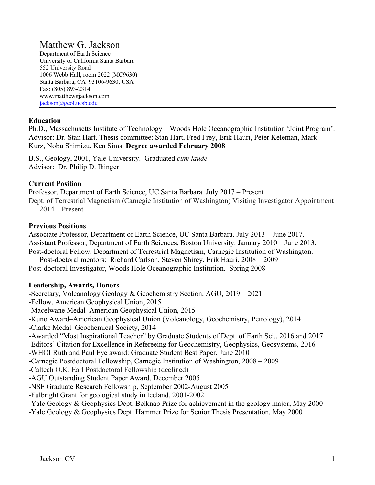# Matthew G. Jackson

Department of Earth Science University of California Santa Barbara 552 University Road 1006 Webb Hall, room 2022 (MC9630) Santa Barbara, CA 93106-9630, USA Fax: (805) 893-2314 www.matthewgjackson.com jackson@geol.ucsb.edu

## **Education**

Ph.D., Massachusetts Institute of Technology – Woods Hole Oceanographic Institution 'Joint Program'. Advisor: Dr. Stan Hart. Thesis committee: Stan Hart, Fred Frey, Erik Hauri, Peter Keleman, Mark Kurz, Nobu Shimizu, Ken Sims. **Degree awarded February 2008**

B.S., Geology, 2001, Yale University. Graduated *cum laude*  Advisor: Dr. Philip D. Ihinger

## **Current Position**

Professor, Department of Earth Science, UC Santa Barbara. July 2017 – Present Dept. of Terrestrial Magnetism (Carnegie Institution of Washington) Visiting Investigator Appointment 2014 – Present

## **Previous Positions**

Associate Professor, Department of Earth Science, UC Santa Barbara. July 2013 – June 2017. Assistant Professor, Department of Earth Sciences, Boston University. January 2010 – June 2013. Post-doctoral Fellow, Department of Terrestrial Magnetism, Carnegie Institution of Washington.

 Post-doctoral mentors: Richard Carlson, Steven Shirey, Erik Hauri. 2008 – 2009 Post-doctoral Investigator, Woods Hole Oceanographic Institution. Spring 2008

## **Leadership, Awards, Honors**

-Secretary, Volcanology Geology & Geochemistry Section, AGU, 2019 – 2021 -Fellow, American Geophysical Union, 2015 -Macelwane Medal–American Geophysical Union, 2015 -Kuno Award–American Geophysical Union (Volcanology, Geochemistry, Petrology), 2014 -Clarke Medal–Geochemical Society, 2014 -Awarded "Most Inspirational Teacher" by Graduate Students of Dept. of Earth Sci., 2016 and 2017 -Editors' Citation for Excellence in Refereeing for Geochemistry, Geophysics, Geosystems, 2016 -WHOI Ruth and Paul Fye award: Graduate Student Best Paper, June 2010 -Carnegie Postdoctoral Fellowship, Carnegie Institution of Washington, 2008 – 2009 -Caltech O.K. Earl Postdoctoral Fellowship (declined) -AGU Outstanding Student Paper Award, December 2005 -NSF Graduate Research Fellowship, September 2002-August 2005 -Fulbright Grant for geological study in Iceland, 2001-2002 -Yale Geology & Geophysics Dept. Belknap Prize for achievement in the geology major, May 2000 -Yale Geology & Geophysics Dept. Hammer Prize for Senior Thesis Presentation, May 2000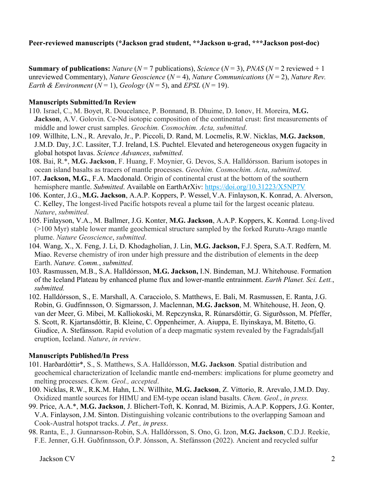## **Peer-reviewed manuscripts (\*Jackson grad student, \*\*Jackson u-grad, \*\*\*Jackson post-doc)**

**Summary of publications:** *Nature* ( $N = 7$  publications), *Science* ( $N = 3$ ), *PNAS* ( $N = 2$  reviewed + 1 unreviewed Commentary), *Nature Geoscience* (*N* = 4), *Nature Communications* (*N* = 2), *Nature Rev. Earth & Environment* ( $N = 1$ ), *Geology* ( $N = 5$ ), and *EPSL* ( $N = 19$ ).

#### **Manuscripts Submitted/In Review**

- 110. Israel, C., M. Boyet, R. Doucelance, P. Bonnand, B. Dhuime, D. Ionov, H. Moreira, **M.G. Jackson**, A.V. Golovin. Ce-Nd isotopic composition of the continental crust: first measurements of middle and lower crust samples. *Geochim. Cosmochim. Acta, submitted*.
- 109. Willhite, L.N., R. Arevalo, Jr., P. Piccoli, D. Rand, M. Locmelis, R.W. Nicklas, **M.G. Jackson**, J.M.D. Day, J.C. Lassiter, T.J. Ireland, I.S. Puchtel. Elevated and heterogeneous oxygen fugacity in global hotspot lavas. *Science Advances*, *submitted*.
- 108. Bai, R.\*, **M.G. Jackson**, F. Huang, F. Moynier, G. Devos, S.A. Halldórsson. Barium isotopes in ocean island basalts as tracers of mantle processes. *Geochim. Cosmochim. Acta*, *submitted*.
- 107. **Jackson, M.G.**, F.A. Macdonald. Origin of continental crust at the bottom of the southern hemisphere mantle. *Submitted*. Available on EarthArXiv: https://doi.org/10.31223/X5NP7V
- 106. Konter, J.G., **M.G. Jackson**, A.A.P. Koppers, P. Wessel, V.A. Finlayson, K. Konrad, A. Alverson, C. Kelley, The longest-lived Pacific hotspots reveal a plume tail for the largest oceanic plateau. *Nature*, *submitted*.
- 105. Finlayson, V.A., M. Ballmer, J.G. Konter, **M.G. Jackson**, A.A.P. Koppers, K. Konrad. Long-lived (>100 Myr) stable lower mantle geochemical structure sampled by the forked Rurutu-Arago mantle plume. *Nature Geoscience*, *submitted*.
- 104. Wang, X., X. Feng, J. Li, D. Khodagholian, J. Lin, **M.G. Jackson,** F.J. Spera, S.A.T. Redfern, M. Miao. Reverse chemistry of iron under high pressure and the distribution of elements in the deep Earth. *Nature. Comm.*, *submitted*.
- 103. Rasmussen, M.B., S.A. Halldórsson, **M.G. Jackson,** I.N. Bindeman, M.J. Whitehouse. Formation of the Iceland Plateau by enhanced plume flux and lower-mantle entrainment. *Earth Planet. Sci. Lett.*, *submitted.*
- 102. Halldórsson, S., E. Marshall, A. Caracciolo, S. Matthews, E. Bali, M. Rasmussen, E. Ranta, J.G. Robin, G. Gudfinnsson, O. Sigmarsson, J. Maclennan, **M.G. Jackson**, M. Whitehouse, H. Jeon, Q. van der Meer, G. Mibei, M. Kalliokoski, M. Repczynska, R. Rúnarsdóttir, G. Sigurðsson, M. Pfeffer, S. Scott, R. Kjartansdóttir, B. Kleine, C. Oppenheimer, A. Aiuppa, E. Ilyinskaya, M. Bitetto, G. Giudice, A. Stefánsson. Rapid evolution of a deep magmatic system revealed by the Fagradalsfjall eruption, Iceland. *Nature*, *in review*.

## **Manuscripts Published/In Press**

- 101. Harðardóttir\*, S., S. Matthews, S.A. Halldórsson, **M.G. Jackson**. Spatial distribution and geochemical characterization of Icelandic mantle end-members: implications for plume geometry and melting processes. *Chem. Geol., accepted*.
- 100. Nicklas, R.W., R.K.M. Hahn, L.N. Willhite, **M.G. Jackson**, Z. Vittorio, R. Arevalo, J.M.D. Day. Oxidized mantle sources for HIMU and EM-type ocean island basalts. *Chem. Geol.*, *in press.*
- 99. Price, A.A.\*, **M.G. Jackson**, J. Blichert-Toft, K. Konrad, M. Bizimis, A.A.P. Koppers, J.G. Konter, V.A. Finlayson, J.M. Sinton. Distinguishing volcanic contributions to the overlapping Samoan and Cook-Austral hotspot tracks. *J. Pet., in press*.
- 98. Ranta, E., J. Gunnarsson-Robin, S.A. Halldórsson, S. Ono, G. Izon, **M.G. Jackson**, C.D.J. Reekie, F.E. Jenner, G.H. Guðfinnsson, Ó.P. Jónsson, A. Stefánsson (2022). Ancient and recycled sulfur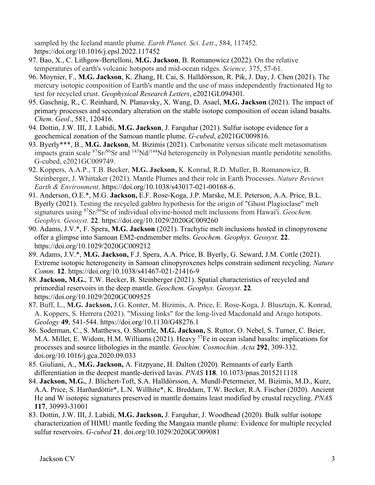sampled by the Iceland mantle plume. *Earth Planet. Sci. Lett*., 584, 117452. https://doi.org/10.1016/j.epsl.2022.117452

- 97. Bao, X., C. Lithgow-Bertelloni, **M.G. Jackson**, B. Romanowicz (2022). On the relative temperatures of earth's volcanic hotspots and mid-ocean ridges. *Science,* 375, 57-61.
- 96. Moynier, F., **M.G. Jackson**, K. Zhang, H. Cai, S. Halldórsson, R. Pik, J. Day, J. Chen (2021). The mercury isotopic composition of Earth's mantle and the use of mass independently fractionated Hg to test for recycled crust. *Geophysical Research Letters*, e2021GL094301.
- 95. Gaschnig, R., C. Reinhard, N. Planavsky, X. Wang, D. Asael, **M.G. Jackson** (2021). The impact of primary processes and secondary alteration on the stable isotope composition of ocean island basalts. *Chem. Geol*., 581, 120416.
- 94. Dottin, J.W. III, J. Labidi, **M.G. Jackson**, J. Farquhar (2021). Sulfur isotope evidence for a geochemical zonation of the Samoan mantle plume. *G-cubed*, e2021GC009816.
- 93. Byerly\*\*\*, B., **M.G. Jackson**, M. Bizimis (2021). Carbonatite versus silicate melt metasomatism impacts grain scale 87Sr/86Sr and 143Nd/144Nd heterogeneity in Polynesian mantle peridotite xenoliths. G-cubed, e2021GC009749.
- 92. Koppers, A.A.P., T.B. Becker, **M.G. Jackson,** K. Konrad, R.D. Muller, B. Romanowicz, B. Steinberger, J. Whittaker (2021). Mantle Plumes and their role in Earth Processes. *Nature Reviews Earth & Environment*. https://doi.org/10.1038/s43017-021-00168-6.
- 91. Anderson, O.E.\*, M.G. **Jackson,** E.F. Rose-Koga, J.P. Marske, M.E. Peterson, A.A. Price, B.L. Byerly (2021). Testing the recycled gabbro hypothesis for the origin of "Ghost Plagioclase" melt signatures using 87Sr/86Sr of individual olivine-hosted melt inclusions from Hawai'i. *Geochem. Geophys. Geosyst.* **22**. https://doi.org/10.1029/2020GC009260
- 90. Adams, J.V.\*, F. Spera, **M.G. Jackson** (2021). Trachytic melt inclusions hosted in clinopyroxene offer a glimpse into Samoan EM2-endmember melts. *Geochem. Geophys. Geosyst.* **22**. https://doi.org/10.1029/2020GC009212
- 89. Adams, J.V.\*, **M.G. Jackson,** F.J. Spera, A.A. Price, B. Byerly, G. Seward, J.M. Cottle (2021). Extreme isotopic heterogeneity in Samoan clinopyroxenes helps constrain sediment recycling. *Nature Comm.* **12**. https://doi.org/10.1038/s41467-021-21416-9
- 88. **Jackson, M.G.**, T.W. Becker, B. Steinberger (2021). Spatial characteristics of recycled and primordial reservoirs in the deep mantle. *Geochem. Geophys. Geosyst*. **22**. https://doi.org/10.1029/2020GC009525
- 87. Buff, L., **M.G. Jackson,** J.G. Konter, M. Bizimis, A. Price, E. Rose-Koga, J. Blusztajn, K. Konrad, A. Koppers, S. Herrera (2021). "Missing links" for the long-lived Macdonald and Arago hotspots. *Geology* **49**, 541-544. https://doi.org/10.1130/G48276.1
- 86. Soderman, C., S. Matthews, O. Shorttle, **M.G. Jackson,** S. Ruttor, O. Nebel, S. Turner, C. Beier, M.A. Millet, E. Widom, H.M. Williams (2021). Heavy 57Fe in ocean island basalts: implications for processes and source lithologies in the mantle. *Geochim. Cosmochim. Acta* **292**, 309-332. doi.org/10.1016/j.gca.2020.09.033
- 85. Giuliani, A., **M.G. Jackson,** A. Fitzpyane, H. Dalton (2020). Remnants of early Earth differentiation in the deepest mantle-derived lavas. *PNAS* **118**. 10.1073/pnas.2015211118
- 84. **Jackson, M.G.**, J. Blichert-Toft, S.A. Halldórsson, A. Mundl-Petermeier, M. Bizimis, M.D., Kurz, A.A. Price, S. Harðardóttir\*, L.N. Willhite\*, K. Breddam, T.W. Becker, R.A. Fischer (2020). Ancient He and W isotopic signatures preserved in mantle domains least modified by crustal recycling. *PNAS* **117**, 30993-31001
- 83. Dottin, J.W. III, J. Labidi, **M.G. Jackson,** J. Farquhar, J. Woodhead (2020). Bulk sulfur isotope characterization of HIMU mantle feeding the Mangaia mantle plume: Evidence for multiple recycled sulfur reservoirs. *G-cubed* **21**. doi.org/10.1029/2020GC009081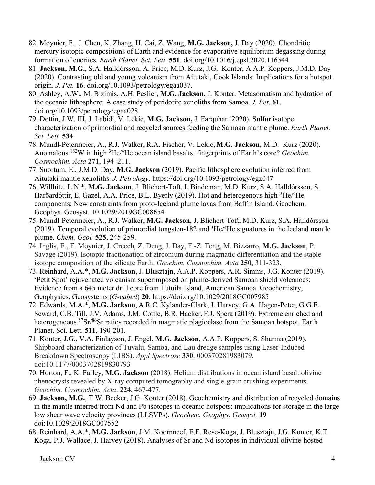- 82. Moynier, F., J. Chen, K. Zhang, H. Cai, Z. Wang, **M.G. Jackson,** J. Day (2020). Chondritic mercury isotopic compositions of Earth and evidence for evaporative equilibrium degassing during formation of eucrites. *Earth Planet. Sci. Lett*. **551**. doi.org/10.1016/j.epsl.2020.116544
- 81. **Jackson, M.G.**, S.A. Halldórsson, A. Price, M.D. Kurz, J.G. Konter, A.A.P. Koppers, J.M.D. Day (2020). Contrasting old and young volcanism from Aitutaki, Cook Islands: Implications for a hotspot origin. *J. Pet.* **16**. doi.org/10.1093/petrology/egaa037.
- 80. Ashley, A.W., M. Bizimis, A.H. Peslier, **M.G. Jackson**, J. Konter. Metasomatism and hydration of the oceanic lithosphere: A case study of peridotite xenoliths from Samoa. *J. Pet*. **61**. doi.org/10.1093/petrology/egaa028
- 79. Dottin, J.W. III, J. Labidi, V. Lekic, **M.G. Jackson,** J. Farquhar (2020). Sulfur isotope characterization of primordial and recycled sources feeding the Samoan mantle plume. *Earth Planet. Sci. Lett.* **534**.
- 78. Mundl-Petermeier, A., R.J. Walker, R.A. Fischer, V. Lekic, **M.G. Jackson**, M.D. Kurz (2020). Anomalous 182W in high 3 He/4 He ocean island basalts: fingerprints of Earth's core? *Geochim. Cosmochim. Acta* **271**, 194–211.
- 77. Snortum, E., J.M.D. Day, **M.G. Jackson** (2019). Pacific lithosphere evolution inferred from Aitutaki mantle xenoliths. *J. Petrology*. https://doi.org/10.1093/petrology/egz047
- 76. Willhite, L.N.\*, **M.G. Jackson**, J. Blichert-Toft, I. Bindeman, M.D. Kurz, S.A. Halldórsson, S. Harðardóttir, E. Gazel, A.A. Price, B.L. Byerly (2019). Hot and heterogenous high-<sup>3</sup>He/<sup>4</sup>He components: New constraints from proto-Iceland plume lavas from Baffin Island. Geochem. Geophys. Geosyst. 10.1029/2019GC008654
- 75. Mundl-Petermeier, A., R.J. Walker, **M.G. Jackson**, J. Blichert-Toft, M.D. Kurz, S.A. Halldórsson (2019). Temporal evolution of primordial tungsten-182 and  ${}^{3}$ He/ ${}^{4}$ He signatures in the Iceland mantle plume. *Chem. Geol.* **525**, 245-259.
- 74. Inglis, E., F. Moynier, J. Creech, Z. Deng, J. Day, F.-Z. Teng, M. Bizzarro, **M.G. Jackson**, P. Savage (2019). Isotopic fractionation of zirconium during magmatic differentiation and the stable isotope composition of the silicate Earth. *Geochim. Cosmochim. Acta* **250**, 311-323.
- 73. Reinhard, A.A.\*, **M.G. Jackson**, J. Blusztajn, A.A.P. Koppers, A.R. Simms, J.G. Konter (2019). 'Petit Spot' rejuvenated volcanism superimposed on plume-derived Samoan shield volcanoes: Evidence from a 645 meter drill core from Tutuila Island, American Samoa. Geochemistry, Geophysics, Geosystems (*G-cubed*) **20**. https://doi.org/10.1029/2018GC007985
- 72. Edwards, M.A.\*, **M.G. Jackson**, A.R.C. Kylander-Clark, J. Harvey, G.A. Hagen-Peter, G.G.E. Seward, C.B. Till, J.V. Adams, J.M. Cottle, B.R. Hacker, F.J. Spera (2019). Extreme enriched and heterogeneous <sup>87</sup>Sr/86Sr ratios recorded in magmatic plagioclase from the Samoan hotspot. Earth Planet. Sci. Lett. **511**, 190-201.
- 71. Konter, J.G., V.A. Finlayson, J. Engel, **M.G. Jackson**, A.A.P. Koppers, S. Sharma (2019). Shipboard characterization of Tuvalu, Samoa, and Lau dredge samples using Laser-Induced Breakdown Spectroscopy (LIBS). *Appl Spectrosc* **330**. 000370281983079. doi:10.1177/0003702819830793
- 70. Horton, F., K. Farley, **M.G. Jackson** (2018). Helium distributions in ocean island basalt olivine phenocrysts revealed by X-ray computed tomography and single-grain crushing experiments. *Geochim. Cosmochim. Acta*. **224**, 467-477.
- 69. **Jackson, M.G.**, T.W. Becker, J.G. Konter (2018). Geochemistry and distribution of recycled domains in the mantle inferred from Nd and Pb isotopes in oceanic hotspots: implications for storage in the large low shear wave velocity provinces (LLSVPs). *Geochem. Geophys. Geosyst.* **19**  doi:10.1029/2018GC007552
- 68. Reinhard, A.A.\*, **M.G. Jackson**, J.M. Koornneef, E.F. Rose-Koga, J. Blusztajn, J.G. Konter, K.T. Koga, P.J. Wallace, J. Harvey (2018). Analyses of Sr and Nd isotopes in individual olivine-hosted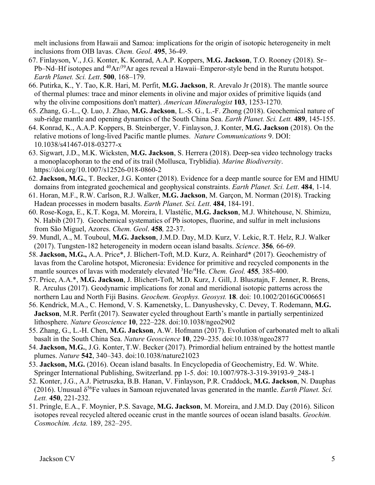melt inclusions from Hawaii and Samoa: implications for the origin of isotopic heterogeneity in melt inclusions from OIB lavas. *Chem. Geol*. **495**, 36-49.

- 67. Finlayson, V., J.G. Konter, K. Konrad, A.A.P. Koppers, **M.G. Jackson**, T.O. Rooney (2018). Sr– Pb–Nd–Hf isotopes and <sup>40</sup>Ar<sup>/39</sup>Ar ages reveal a Hawaii–Emperor-style bend in the Rurutu hotspot. *Earth Planet. Sci. Lett*. **500**, 168–179.
- 66. Putirka, K., Y. Tao, K.R. Hari, M. Perfit, **M.G. Jackson**, R. Arevalo Jr (2018). The mantle source of thermal plumes: trace and minor elements in olivine and major oxides of primitive liquids (and why the olivine compositions don't matter). *American Mineralogist* **103**, 1253-1270.
- 65. Zhang, G.-L., Q. Luo, J. Zhao, **M.G. Jackson**, L.-S. G., L.-F. Zhong (2018). Geochemical nature of sub-ridge mantle and opening dynamics of the South China Sea. *Earth Planet. Sci. Lett.* **489**, 145-155.
- 64. Konrad, K., A.A.P. Koppers, B. Steinberger, V. Finlayson, J. Konter, **M.G. Jackson** (2018). On the relative motions of long-lived Pacific mantle plumes. *Nature Communications* 9. DOI: 10.1038/s41467-018-03277-x
- 63. Sigwart, J.D., M.K. Wicksten, **M.G. Jackson**, S. Herrera (2018). Deep-sea video technology tracks a monoplacophoran to the end of its trail (Mollusca, Tryblidia). *Marine Biodiversity*. https://doi.org/10.1007/s12526-018-0860-2
- 62. **Jackson, M.G.**, T. Becker, J.G. Konter (2018). Evidence for a deep mantle source for EM and HIMU domains from integrated geochemical and geophysical constraints. *Earth Planet. Sci. Lett*. **484**, 1-14.
- 61. Horan, M.F., R.W. Carlson, R.J. Walker, **M.G. Jackson**, M. Garçon, M. Norman (2018). Tracking Hadean processes in modern basalts. *Earth Planet. Sci. Lett*. **484**, 184-191.
- 60. Rose-Koga, E., K.T. Koga, M. Moreira, I. Vlastélic, **M.G. Jackson**, M.J. Whitehouse, N. Shimizu, N. Habib (2017). Geochemical systematics of Pb isotopes, fluorine, and sulfur in melt inclusions from São Miguel, Azores. *Chem. Geol*. **458***,* 22-37.
- 59. Mundl, A., M. Touboul, **M.G. Jackson**, J.M.D. Day, M.D. Kurz, V. Lekic, R.T. Helz, R.J. Walker (2017). Tungsten-182 heterogeneity in modern ocean island basalts. *Science*. **356***,* 66-69.
- 58. **Jackson, M.G.,** A.A. Price\*, J. Blichert-Toft, M.D. Kurz, A. Reinhard\* (2017). Geochemistry of lavas from the Caroline hotspot, Micronesia: Evidence for primitive and recycled components in the mantle sources of lavas with moderately elevated 3 He/4 He. *Chem. Geol.* **455***,* 385-400.
- 57. Price, A.A.\*, **M.G. Jackson**, J. Blichert-Toft, M.D. Kurz, J. Gill, J. Blusztajn, F. Jenner, R. Brens, R. Arculus (2017). Geodynamic implications for zonal and meridional isotopic patterns across the northern Lau and North Fiji Basins. *Geochem. Geophys. Geosyst.* **18**. doi: 10.1002/2016GC006651
- 56. Kendrick, M.A., C. Hemond, V. S. Kamenetsky, L. Danyushevsky, C. Devey, T. Rodemann, **M.G. Jackson**, M.R. Perfit (2017). Seawater cycled throughout Earth's mantle in partially serpentinized lithosphere. *Nature Geoscience* **10**, 222–228. doi:10.1038/ngeo2902
- 55. Zhang, G., L.-H. Chen, **M.G. Jackson**, A.W. Hofmann (2017). Evolution of carbonated melt to alkali basalt in the South China Sea. *Nature Geoscience* **10**, 229–235. doi:10.1038/ngeo2877
- 54. **Jackson, M.G.**, J.G. Konter, T.W. Becker (2017). Primordial helium entrained by the hottest mantle plumes. *Nature* **542**, 340–343. doi:10.1038/nature21023
- 53. **Jackson, M.G.** (2016). Ocean island basalts. In Encyclopedia of Geochemistry, Ed. W. White. Springer International Publishing, Switzerland. pp 1-5. doi: 10.1007/978-3-319-39193-9\_248-1
- 52. Konter, J.G., A.J. Pietruszka, B.B. Hanan, V. Finlayson, P.R. Craddock, **M.G. Jackson**, N. Dauphas (2016). Unusual  $\delta^{56}$ Fe values in Samoan rejuvenated lavas generated in the mantle. *Earth Planet. Sci. Lett.* **450**, 221-232.
- 51. Pringle, E.A., F. Moynier, P.S. Savage, **M.G. Jackson**, M. Moreira, and J.M.D. Day (2016). Silicon isotopes reveal recycled altered oceanic crust in the mantle sources of ocean island basalts. *Geochim. Cosmochim. Acta.* 189, 282–295.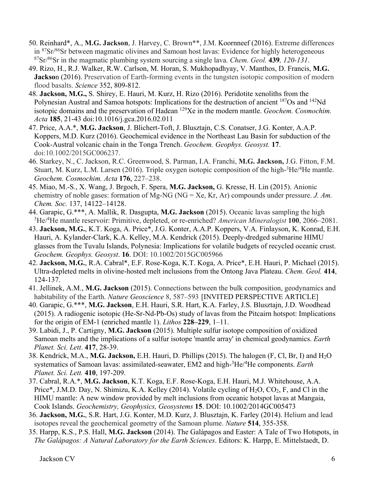- 50. Reinhard\*, A., **M.G. Jackson**, J. Harvey, C. Brown\*\*, J.M. Koornneef (2016). Extreme differences in <sup>87</sup>Sr/<sup>86</sup>Sr between magmatic olivines and Samoan host lavas: Evidence for highly heterogeneous 87Sr/86Sr in the magmatic plumbing system sourcing a single lava. *Chem. Geol.* **439***, 120-131*.
- 49. Rizo, H., R.J. Walker, R.W. Carlson, M. Horan, S. Mukhopadhyay, V. Manthos, D. Francis, **M.G. Jackson** (2016). Preservation of Earth-forming events in the tungsten isotopic composition of modern flood basalts. *Science* 352, 809-812.
- 48. **Jackson, M.G.,** S. Shirey, E. Hauri, M. Kurz, H. Rizo (2016). Peridotite xenoliths from the Polynesian Austral and Samoa hotspots: Implications for the destruction of ancient 187Os and 142Nd isotopic domains and the preservation of Hadean 129Xe in the modern mantle. *Geochem. Cosmochim. Acta* **185**, 21-43 doi:10.1016/j.gca.2016.02.011
- 47. Price, A.A.\*, **M.G. Jackson**, J. Blichert-Toft, J. Blusztajn, C.S. Conatser, J.G. Konter, A.A.P. Koppers, M.D. Kurz (2016). Geochemical evidence in the Northeast Lau Basin for subduction of the Cook-Austral volcanic chain in the Tonga Trench. *Geochem. Geophys. Geosyst.* **17**. doi:10.1002/2015GC006237.
- 46. Starkey, N., C. Jackson, R.C. Greenwood, S. Parman, I.A. Franchi, **M.G. Jackson,** J.G. Fitton, F.M. Stuart, M. Kurz, L.M. Larsen (2016). Triple oxygen isotopic composition of the high-<sup>3</sup>He/<sup>4</sup>He mantle. *Geochem. Cosmochim. Acta* **176**, 227–238.
- 45. Miao, M.-S., X. Wang, J. Brgoch, F. Spera, **M.G. Jackson,** G. Kresse, H. Lin (2015). Anionic chemistry of noble gases: formation of Mg-NG (NG = Xe, Kr, Ar) compounds under pressure. *J. Am. Chem. Soc.* 137, 14122–14128.
- 44. Garapic, G.\*\*\*, A. Mallik, R. Dasgupta, **M.G. Jackson** (2015). Oceanic lavas sampling the high 3 He/4 He mantle reservoir: Primitive, depleted, or re-enriched? *American Mineralogist* **100**, 2066–2081.
- 43. **Jackson, M.G.**, K.T. Koga, A. Price\*, J.G. Konter, A.A.P. Koppers, V.A. Finlayson, K. Konrad, E.H. Hauri, A. Kylander-Clark, K.A. Kelley, M.A. Kendrick (2015). Deeply-dredged submarine HIMU glasses from the Tuvalu Islands, Polynesia: Implications for volatile budgets of recycled oceanic crust. *Geochem. Geophys. Geosyst*. **16**. DOI: 10.1002/2015GC005966
- 42. **Jackson, M.G.**, R.A. Cabral\*, E.F. Rose-Koga, K.T. Koga, A. Price\*, E.H. Hauri, P. Michael (2015). Ultra-depleted melts in olivine-hosted melt inclusions from the Ontong Java Plateau. *Chem. Geol.* **414**, 124-137.
- 41. Jellinek, A.M., **M.G. Jackson** (2015). Connections between the bulk composition, geodynamics and habitability of the Earth. *Nature Geoscience* 8, 587–593 [INVITED PERSPECTIVE ARTICLE]
- 40. Garapic, G.\*\*\*, **M.G. Jackson**, E.H. Hauri, S.R. Hart, K.A. Farley, J.S. Blusztajn, J.D. Woodhead (2015). A radiogenic isotopic (He-Sr-Nd-Pb-Os) study of lavas from the Pitcairn hotspot: Implications for the origin of EM-1 (enriched mantle 1). *Lithos* **228–229**, 1–11.
- 39. Labidi, J., P. Cartigny, **M.G. Jackson** (2015). Multiple sulfur isotope composition of oxidized Samoan melts and the implications of a sulfur isotope 'mantle array' in chemical geodynamics. *Earth Planet. Sci. Lett*. **417**, 28-39.
- 38. Kendrick, M.A., **M.G. Jackson,** E.H. Hauri, D. Phillips (2015). The halogen (F, Cl, Br, I) and H2O systematics of Samoan lavas: assimilated-seawater, EM2 and high-3 He/4 He components. *Earth Planet. Sci. Lett.* **410**, 197-209.
- 37. Cabral, R.A.\*, **M.G. Jackson**, K.T. Koga, E.F. Rose-Koga, E.H. Hauri, M.J. Whitehouse, A.A. Price\*, J.M.D. Day, N. Shimizu, K.A. Kelley (2014). Volatile cycling of H<sub>2</sub>O, CO<sub>2</sub>, F, and Cl in the HIMU mantle: A new window provided by melt inclusions from oceanic hotspot lavas at Mangaia, Cook Islands. *Geochemistry, Geophysics, Geosystems* **15**. DOI: 10.1002/2014GC005473
- 36. **Jackson, M.G.**, S.R. Hart, J.G. Konter, M.D. Kurz, J. Blusztajn, K. Farley (2014). Helium and lead isotopes reveal the geochemical geometry of the Samoan plume. *Nature* **514**, 355-358.
- 35. Harpp, K.S., P.S. Hall, **M.G. Jackson** (2014). The Galápagos and Easter: A Tale of Two Hotspots, in *The Galápagos: A Natural Laboratory for the Earth Sciences*. Editors: K. Harpp, E. Mittelstaedt, D.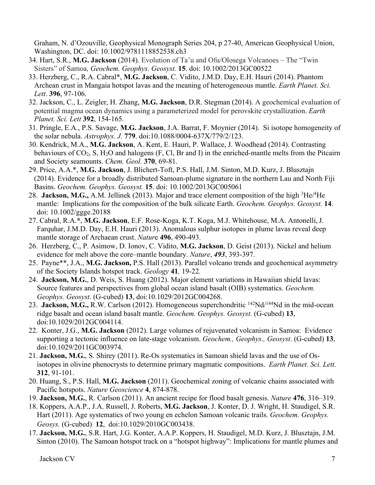Graham, N. d'Ozouville, Geophysical Monograph Series 204, p 27-40, American Geophysical Union, Washington, DC. doi: 10.1002/9781118852538.ch3

- 34. Hart, S.R., **M.G. Jackson** (2014). Evolution of Ta'u and Ofu/Olosega Volcanoes The "Twin Sisters" of Samoa*, Geochem. Geophys. Geosyst.* **15**. doi: 10.1002/2013GC00522
- 33. Herzberg, C., R.A. Cabral\*, **M.G. Jackson**, C. Vidito, J.M.D. Day, E.H. Hauri (2014). Phantom Archean crust in Mangaia hotspot lavas and the meaning of heterogeneous mantle. *Earth Planet. Sci. Lett*. **396**, 97-106.
- 32. Jackson, C., L. Zeigler, H. Zhang, **M.G. Jackson**, D.R. Stegman (2014). A geochemical evaluation of potential magma ocean dynamics using a parameterized model for perovskite crystallization. *Earth Planet. Sci. Lett* **392**, 154-165.
- 31. Pringle, E.A., P.S. Savage, **M.G. Jackson**, J.A. Barrat, F. Moynier (2014). Si isotope homogeneity of the solar nebula. *Astrophys. J.* **779**. doi:10.1088/0004-637X/779/2/123.
- 30. Kendrick, M.A., **M.G. Jackson**, A. Kent, E. Hauri, P. Wallace, J. Woodhead (2014). Contrasting behaviours of CO<sub>2</sub>, S, H<sub>2</sub>O and halogens (F, Cl, Br and I) in the enriched-mantle melts from the Pitcairn and Society seamounts. *Chem. Geol.* **370**, 69-81.
- 29. Price, A.A.\*, **M.G. Jackson**, J. Blichert-Toft, P.S. Hall, J.M. Sinton, M.D. Kurz, J. Blusztajn (2014). Evidence for a broadly distributed Samoan-plume signature in the northern Lau and North Fiji Basins. *Geochem. Geophys. Geosyst.* **15**. doi: 10.1002/2013GC005061
- 28. Jackson, M.G., A.M. Jellinek (2013). Major and trace element composition of the high <sup>3</sup>He/<sup>4</sup>He mantle: Implications for the composition of the bulk silicate Earth. *Geochem. Geophys. Geosyst.* **14**. doi: 10.1002/ggge.20188
- 27. Cabral, R.A.**\***, **M.G. Jackson**, E.F. Rose-Koga, K.T. Koga, M.J. Whitehouse, M.A. Antonelli,J. Farquhar, J.M.D. Day, E.H. Hauri (2013). Anomalous sulphur isotopes in plume lavas reveal deep mantle storage of Archaean crust. *Natur*e **496**, 490-493.
- 26. Herzberg, C., P. Asimow, D. Ionov, C. Vidito, **M.G. Jackson**, D. Geist (2013). Nickel and helium evidence for melt above the core–mantle boundary. *Nature*, *493*, 393-397.
- 25. Payne\*\*, J.A., **M.G. Jackson,** P.S. Hall (2013). Parallel volcano trends and geochemical asymmetry of the Society Islands hotspot track. *Geology* **41***,* 19-22*.*
- 24. **Jackson, M.G.**, D. Weis, S. Huang (2012). Major element variations in Hawaiian shield lavas: Source features and perspectives from global ocean island basalt (OIB) systematics. *Geochem. Geophys. Geosyst*. (G-cubed) **13**, doi:10.1029/2012GC004268.
- 23. **Jackson, M.G., R.**W. Carlson (2012). Homogeneous superchondritic <sup>142</sup>Nd/<sup>144</sup>Nd in the mid-ocean ridge basalt and ocean island basalt mantle. *Geochem. Geophys. Geosyst.* (G-cubed) **13**, doi:10.1029/2012GC004114.
- 22. Konter, J.G., **M.G. Jackson** (2012). Large volumes of rejuvenated volcanism in Samoa: Evidence supporting a tectonic influence on late-stage volcanism. *Geochem., Geophys., Geosyst*. (G-cubed) **13**, doi:10.1029/2011GC003974.
- 21. **Jackson, M.G.**, S. Shirey (2011). Re-Os systematics in Samoan shield lavas and the use of Osisotopes in olivine phenocrysts to determine primary magmatic compositions. *Earth Planet. Sci. Lett.*  **312**, 91-101.
- 20. Huang, S., P.S. Hall, **M.G. Jackson** (2011). Geochemical zoning of volcanic chains associated with Pacific hotspots. *Nature Geoscience* **4**, 874-878.
- 19. **Jackson, M.G.**, R. Carlson (2011). An ancient recipe for flood basalt genesis. *Nature* **476**, 316–319.
- 18. Koppers, A.A.P., J.A. Russell, J. Roberts, **M.G. Jackson**, J. Konter, D. J. Wright, H. Staudigel, S.R. Hart (2011). Age systematics of two young en echelon Samoan volcanic trails. *Geochem. Geophys. Geosys.* (G-cubed) **12**, doi:10.1029/2010GC003438.
- 17. **Jackson, M.G.**, S.R. Hart, J.G. Konter, A.A.P. Koppers, H. Staudigel, M.D. Kurz, J. Blusztajn, J.M. Sinton (2010). The Samoan hotspot track on a "hotspot highway": Implications for mantle plumes and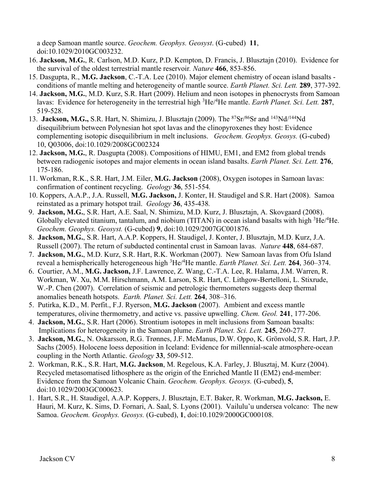a deep Samoan mantle source. *Geochem. Geophys. Geosyst*. (G-cubed) **11**, doi:10.1029/2010GC003232.

- 16. **Jackson, M.G.**, R. Carlson, M.D. Kurz, P.D. Kempton, D. Francis, J. Blusztajn (2010). Evidence for the survival of the oldest terrestrial mantle reservoir*. Nature* **466**, 853-856.
- 15. Dasgupta, R., **M.G. Jackson**, C.-T.A. Lee (2010). Major element chemistry of ocean island basalts conditions of mantle melting and heterogeneity of mantle source. *Earth Planet. Sci. Lett.* **289**, 377-392.
- 14. **Jackson, M.G.**, M.D. Kurz, S.R. Hart (2009). Helium and neon isotopes in phenocrysts from Samoan lavas: Evidence for heterogeneity in the terrestrial high 3 He/4 He mantle. *Earth Planet. Sci. Lett.* **287**, 519-528.
- 13. **Jackson, M.G.,** S.R. Hart, N. Shimizu, J. Blusztajn (2009). The 87Sr/86Sr and 143Nd/144Nd disequilibrium between Polynesian hot spot lavas and the clinopyroxenes they host: Evidence complementing isotopic disequilibrium in melt inclusions. *Geochem. Geophys. Geosys.* (G-cubed) 10, Q03006, doi:10.1029/2008GC002324
- 12. **Jackson, M.G.**, R. Dasgupta (2008). Compositions of HIMU, EM1, and EM2 from global trends between radiogenic isotopes and major elements in ocean island basalts. *Earth Planet. Sci. Lett.* **276**, 175-186.
- 11. Workman, R.K., S.R. Hart, J.M. Eiler, **M.G. Jackson** (2008), Oxygen isotopes in Samoan lavas: confirmation of continent recycling. *Geology* **36**, 551-554*.*
- 10. Koppers, A.A.P., J.A. Russell, **M.G. Jackson,** J. Konter, H. Staudigel and S.R. Hart (2008). Samoa reinstated as a primary hotspot trail. *Geology* **36**, 435-438*.*
- 9. **Jackson, M.G.**, S.R. Hart, A.E. Saal, N. Shimizu, M.D. Kurz, J. Blusztajn, A. Skovgaard (2008). Globally elevated titanium, tantalum, and niobium (TITAN) in ocean island basalts with high <sup>3</sup>He/<sup>4</sup>He. *Geochem. Geophys. Geosyst.* (G-cubed) **9**, doi:10.1029/2007GC001876.
- 8. **Jackson, M.G.**, S.R. Hart, A.A.P. Koppers, H. Staudigel, J. Konter, J. Blusztajn, M.D. Kurz, J.A. Russell (2007). The return of subducted continental crust in Samoan lavas. *Nature* **448**, 684-687.
- 7. **Jackson, M.G.**, M.D. Kurz, S.R. Hart, R.K. Workman (2007). New Samoan lavas from Ofu Island reveal a hemispherically heterogeneous high <sup>3</sup>He/<sup>4</sup>He mantle. *Earth Planet. Sci. Lett.* **264**, 360–374.
- 6. Courtier, A.M., **M.G. Jackson,** J.F. Lawrence, Z. Wang, C.-T.A. Lee, R. Halama, J.M. Warren, R. Workman, W. Xu, M.M. Hirschmann, A.M. Larson, S.R. Hart, C. Lithgow-Bertelloni, L. Stixrude, W.-P. Chen (2007). Correlation of seismic and petrologic thermometers suggests deep thermal anomalies beneath hotspots. *Earth. Planet. Sci. Lett.* **264**, 308–316.
- 5. Putirka, K.D., M. Perfit., F.J. Ryerson, **M.G. Jackson** (2007). Ambient and excess mantle temperatures, olivine thermometry, and active vs. passive upwelling. *Chem. Geol.* **241**, 177-206.
- 4. **Jackson, M.G.**, S.R. Hart (2006). Strontium isotopes in melt inclusions from Samoan basalts: Implications for heterogeneity in the Samoan plume. *Earth Planet. Sci. Lett.* **245**, 260-277*.*
- 3. **Jackson, M.G.**, N. Oskarsson, R.G. Trønnes, J.F. McManus, D.W. Oppo, K. Grönvold, S.R. Hart, J.P. Sachs (2005). Holocene loess deposition in Iceland: Evidence for millennial-scale atmosphere-ocean coupling in the North Atlantic. *Geology* **33**, 509-512.
- 2. Workman, R.K., S.R. Hart, **M.G. Jackson**, M. Regelous, K.A. Farley, J. Blusztaj, M. Kurz (2004). Recycled metasomatised lithosphere as the origin of the Enriched Mantle II (EM2) end-member: Evidence from the Samoan Volcanic Chain. *Geochem. Geophys. Geosys.* (G-cubed), **5**, doi:10.1029/2003GC000623.
- 1. Hart, S.R., H. Staudigel, A.A.P. Koppers, J. Blusztajn, E.T. Baker, R. Workman, **M.G. Jackson,** E. Hauri, M. Kurz, K. Sims, D. Fornari, A. Saal, S. Lyons (2001). Vailulu'u undersea volcano: The new Samoa. *Geochem. Geophys. Geosys.* (G-cubed), **1**, doi:10.1029/2000GC000108.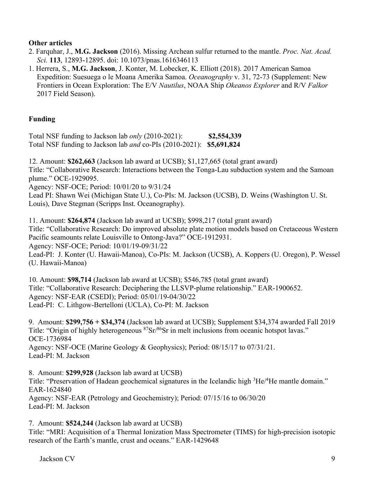## **Other articles**

- 2. Farquhar, J., **M.G. Jackson** (2016). Missing Archean sulfur returned to the mantle. *Proc. Nat. Acad. Sci.* **113**, 12893-12895. doi: 10.1073/pnas.1616346113
- 1. Herrera, S., **M.G. Jackson**, J. Konter, M. Lobecker, K. Elliott (2018). 2017 American Samoa Expedition: Suesuega o le Moana Amerika Samoa. *Oceanography* v. 31, 72-73 (Supplement: New Frontiers in Ocean Exploration: The E/V *Nautilus*, NOAA Ship *Okeanos Explorer* and R/V *Falkor* 2017 Field Season).

## **Funding**

Total NSF funding to Jackson lab *only* (2010-2021): **\$2,554,339** Total NSF funding to Jackson lab *and* co-PIs (2010-2021): **\$5,691,824**

12. Amount: **\$262,663** (Jackson lab award at UCSB); \$1,127,665 (total grant award) Title: "Collaborative Research: Interactions between the Tonga-Lau subduction system and the Samoan plume." OCE-1929095.

Agency: NSF-OCE; Period: 10/01/20 to 9/31/24

Lead PI: Shawn Wei (Michigan State U.), Co-PIs: M. Jackson (UCSB), D. Weins (Washington U. St. Louis), Dave Stegman (Scripps Inst. Oceanography).

11. Amount: **\$264,874** (Jackson lab award at UCSB); \$998,217 (total grant award) Title: "Collaborative Research: Do improved absolute plate motion models based on Cretaceous Western Pacific seamounts relate Louisville to Ontong-Java?" OCE-1912931. Agency: NSF-OCE; Period: 10/01/19-09/31/22 Lead-PI: J. Konter (U. Hawaii-Manoa), Co-PIs: M. Jackson (UCSB), A. Koppers (U. Oregon), P. Wessel (U. Hawaii-Manoa)

10. Amount: **\$98,714** (Jackson lab award at UCSB); \$546,785 (total grant award) Title: "Collaborative Research: Deciphering the LLSVP-plume relationship." EAR-1900652. Agency: NSF-EAR (CSEDI); Period: 05/01/19-04/30/22 Lead-PI: C. Lithgow-Bertelloni (UCLA), Co-PI: M. Jackson

9. Amount: **\$299,756 + \$34,374** (Jackson lab award at UCSB); Supplement \$34,374 awarded Fall 2019 Title: "Origin of highly heterogeneous <sup>87</sup>Sr/86Sr in melt inclusions from oceanic hotspot lavas." OCE-1736984 Agency: NSF-OCE (Marine Geology & Geophysics); Period: 08/15/17 to 07/31/21. Lead-PI: M. Jackson

8. Amount: **\$299,928** (Jackson lab award at UCSB) Title: "Preservation of Hadean geochemical signatures in the Icelandic high <sup>3</sup>He/<sup>4</sup>He mantle domain." EAR-1624840 Agency: NSF-EAR (Petrology and Geochemistry); Period: 07/15/16 to 06/30/20 Lead-PI: M. Jackson

7. Amount: **\$524,244** (Jackson lab award at UCSB)

Title: "MRI: Acquisition of a Thermal Ionization Mass Spectrometer (TIMS) for high-precision isotopic research of the Earth's mantle, crust and oceans." EAR-1429648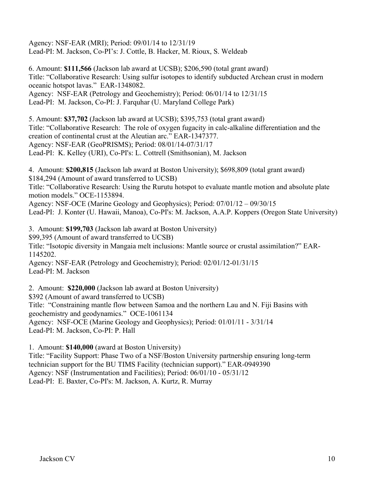Agency: NSF-EAR (MRI); Period: 09/01/14 to 12/31/19 Lead-PI: M. Jackson, Co-PI's: J. Cottle, B. Hacker, M. Rioux, S. Weldeab

6. Amount: **\$111,566** (Jackson lab award at UCSB); \$206,590 (total grant award) Title: "Collaborative Research: Using sulfur isotopes to identify subducted Archean crust in modern oceanic hotspot lavas." EAR-1348082. Agency: NSF-EAR (Petrology and Geochemistry); Period: 06/01/14 to 12/31/15 Lead-PI: M. Jackson, Co-PI: J. Farquhar (U. Maryland College Park)

5. Amount: **\$37,702** (Jackson lab award at UCSB); \$395,753 (total grant award) Title: "Collaborative Research: The role of oxygen fugacity in calc-alkaline differentiation and the creation of continental crust at the Aleutian arc." EAR-1347377. Agency: NSF-EAR (GeoPRISMS); Period: 08/01/14-07/31/17 Lead-PI: K. Kelley (URI), Co-PI's: L. Cottrell (Smithsonian), M. Jackson

4. Amount: **\$200,815** (Jackson lab award at Boston University); \$698,809 (total grant award) \$184,294 (Amount of award transferred to UCSB) Title: "Collaborative Research: Using the Rurutu hotspot to evaluate mantle motion and absolute plate motion models." OCE-1153894.

Agency: NSF-OCE (Marine Geology and Geophysics); Period: 07/01/12 – 09/30/15 Lead-PI: J. Konter (U. Hawaii, Manoa), Co-PI's: M. Jackson, A.A.P. Koppers (Oregon State University)

3. Amount: **\$199,703** (Jackson lab award at Boston University) \$99,395 (Amount of award transferred to UCSB) Title: "Isotopic diversity in Mangaia melt inclusions: Mantle source or crustal assimilation?" EAR-1145202.

Agency: NSF-EAR (Petrology and Geochemistry); Period: 02/01/12-01/31/15 Lead-PI: M. Jackson

2. Amount: **\$220,000** (Jackson lab award at Boston University)

\$392 (Amount of award transferred to UCSB)

Title: "Constraining mantle flow between Samoa and the northern Lau and N. Fiji Basins with geochemistry and geodynamics." OCE-1061134

Agency: NSF-OCE (Marine Geology and Geophysics); Period: 01/01/11 - 3/31/14 Lead-PI: M. Jackson, Co-PI: P. Hall

1. Amount: **\$140,000** (award at Boston University)

Title: "Facility Support: Phase Two of a NSF/Boston University partnership ensuring long-term technician support for the BU TIMS Facility (technician support)." EAR-0949390 Agency: NSF (Instrumentation and Facilities); Period: 06/01/10 - 05/31/12 Lead-PI: E. Baxter, Co-PI's: M. Jackson, A. Kurtz, R. Murray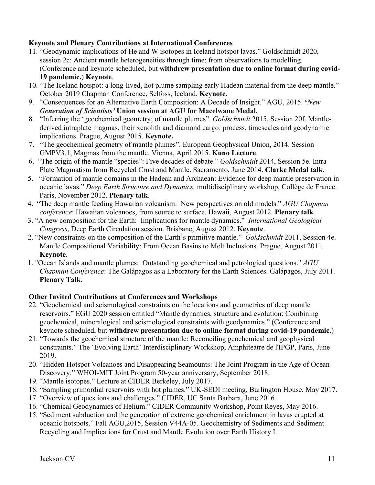## **Keynote and Plenary Contributions at International Conferences**

- 11. "Geodynamic implications of He and W isotopes in Iceland hotspot lavas." Goldschmidt 2020, session 2c: Ancient mantle heterogeneities through time: from observations to modelling. (Conference and keynote scheduled, but **withdrew presentation due to online format during covid-19 pandemic.**) **Keynote**.
- 10. "The Iceland hotspot: a long-lived, hot plume sampling early Hadean material from the deep mantle." October 2019 Chapman Conference, Selfoss, Iceland. **Keynote.**
- 9. "Consequences for an Alternative Earth Composition: A Decade of Insight." AGU, 2015. **'***New Generation of Scientists'* **Union session at AGU for Macelwane Medal.**
- 8. "Inferring the 'geochemical geometry; of mantle plumes". *Goldschmidt* 2015, Session 20f. Mantlederived intraplate magmas, their xenolith and diamond cargo: process, timescales and geodynamic implications. Prague, August 2015. **Keynote.**
- 7. "The geochemical geometry of mantle plumes". European Geophysical Union, 2014. Session GMPV3.1, Magmas from the mantle. Vienna, April 2015. **Kuno Lecture**.
- 6. "The origin of the mantle "species": Five decades of debate." *Goldschmidt* 2014, Session 5e. Intra-Plate Magmatism from Recycled Crust and Mantle. Sacramento, June 2014. **Clarke Medal talk**.
- 5. "Formation of mantle domains in the Hadean and Archaean: Evidence for deep mantle preservation in oceanic lavas." *Deep Earth Structure and Dynamics,* multidisciplinary workshop, Collège de France. Paris, November 2012. **Plenary talk**.
- 4. "The deep mantle feeding Hawaiian volcanism: New perspectives on old models." *AGU Chapman conference*: Hawaiian volcanoes, from source to surface. Hawaii, August 2012. **Plenary talk**.
- 3. "A new composition for the Earth: Implications for mantle dynamics." *International Geological Congress*, Deep Earth Circulation session. Brisbane, August 2012. **Keynote**.
- 2. "New constraints on the composition of the Earth's primitive mantle." *Goldschmidt* 2011, Session 4e. Mantle Compositional Variability: From Ocean Basins to Melt Inclusions. Prague, August 2011. **Keynote**.
- 1. "Ocean Islands and mantle plumes: Outstanding geochemical and petrological questions." *AGU Chapman Conference*: The Galápagos as a Laboratory for the Earth Sciences. Galápagos, July 2011. **Plenary Talk**.

## **Other Invited Contributions at Conferences and Workshops**

- 22. "Geochemical and seismological constraints on the locations and geometries of deep mantle reservoirs." EGU 2020 session entitled "Mantle dynamics, structure and evolution: Combining geochemical, mineralogical and seismological constraints with geodynamics." (Conference and keynote scheduled, but **withdrew presentation due to online format during covid-19 pandemic**.)
- 21. "Towards the geochemical structure of the mantle: Reconciling geochemical and geophysical constraints." The 'Evolving Earth' Interdisciplinary Workshop, Amphiteatre de l'IPGP, Paris, June 2019.
- 20. "Hidden Hotspot Volcanoes and Disappearing Seamounts: The Joint Program in the Age of Ocean Discovery." WHOI-MIT Joint Program 50-year anniversary, September 2018.
- 19. "Mantle isotopes." Lecture at CIDER Berkeley, July 2017.
- 18. "Sampling primordial reservoirs with hot plumes." UK-SEDI meeting, Burlington House, May 2017.
- 17. "Overview of questions and challenges." CIDER, UC Santa Barbara, June 2016.
- 16. "Chemical Geodynamics of Helium." CIDER Community Workshop, Point Reyes, May 2016.
- 15. "Sediment subduction and the generation of extreme geochemical enrichment in lavas erupted at oceanic hotspots." Fall AGU,2015, Session V44A-05. Geochemistry of Sediments and Sediment Recycling and Implications for Crust and Mantle Evolution over Earth History I.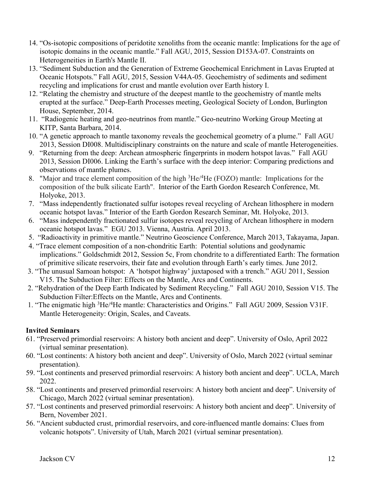- 14. "Os-isotopic compositions of peridotite xenoliths from the oceanic mantle: Implications for the age of isotopic domains in the oceanic mantle." Fall AGU, 2015, Session D153A-07. Constraints on Heterogeneities in Earth's Mantle II.
- 13. "Sediment Subduction and the Generation of Extreme Geochemical Enrichment in Lavas Erupted at Oceanic Hotspots." Fall AGU, 2015, Session V44A-05. Geochemistry of sediments and sediment recycling and implications for crust and mantle evolution over Earth history I.
- 12. "Relating the chemistry and structure of the deepest mantle to the geochemistry of mantle melts erupted at the surface." Deep-Earth Processes meeting, Geological Society of London, Burlington House, September, 2014.
- 11. "Radiogenic heating and geo-neutrinos from mantle." Geo-neutrino Working Group Meeting at KITP, Santa Barbara, 2014.
- 10. "A genetic approach to mantle taxonomy reveals the geochemical geometry of a plume." Fall AGU 2013, Session DI008. Multidisciplinary constraints on the nature and scale of mantle Heterogeneities.
- 9. "Returning from the deep: Archean atmospheric fingerprints in modern hotspot lavas." Fall AGU 2013, Session DI006. Linking the Earth's surface with the deep interior: Comparing predictions and observations of mantle plumes.
- 8. "Major and trace element composition of the high <sup>3</sup>He/<sup>4</sup>He (FOZO) mantle: Implications for the composition of the bulk silicate Earth". Interior of the Earth Gordon Research Conference, Mt. Holyoke, 2013.
- 7. "Mass independently fractionated sulfur isotopes reveal recycling of Archean lithosphere in modern oceanic hotspot lavas." Interior of the Earth Gordon Research Seminar, Mt. Holyoke, 2013.
- 6. "Mass independently fractionated sulfur isotopes reveal recycling of Archean lithosphere in modern oceanic hotspot lavas." EGU 2013. Vienna, Austria. April 2013.
- 5. "Radioactivity in primitive mantle." Neutrino Geoscience Conference, March 2013, Takayama, Japan.
- 4. "Trace element composition of a non-chondritic Earth: Potential solutions and geodynamic implications." Goldschmidt 2012, Session 5c, From chondrite to a differentiated Earth: The formation of primitive silicate reservoirs, their fate and evolution through Earth's early times. June 2012.
- 3. "The unusual Samoan hotspot: A 'hotspot highway' juxtaposed with a trench." AGU 2011, Session V15. The Subduction Filter: Effects on the Mantle, Arcs and Continents.
- 2. "Rehydration of the Deep Earth Indicated by Sediment Recycling." Fall AGU 2010, Session V15. The Subduction Filter:Effects on the Mantle, Arcs and Continents.
- 1. "The enigmatic high <sup>3</sup>He/<sup>4</sup>He mantle: Characteristics and Origins." Fall AGU 2009, Session V31F. Mantle Heterogeneity: Origin, Scales, and Caveats.

## **Invited Seminars**

- 61. "Preserved primordial reservoirs: A history both ancient and deep". University of Oslo, April 2022 (virtual seminar presentation).
- 60. "Lost continents: A history both ancient and deep". University of Oslo, March 2022 (virtual seminar presentation).
- 59. "Lost continents and preserved primordial reservoirs: A history both ancient and deep". UCLA, March 2022.
- 58. "Lost continents and preserved primordial reservoirs: A history both ancient and deep". University of Chicago, March 2022 (virtual seminar presentation).
- 57. "Lost continents and preserved primordial reservoirs: A history both ancient and deep". University of Bern, November 2021.
- 56. "Ancient subducted crust, primordial reservoirs, and core-influenced mantle domains: Clues from volcanic hotspots". University of Utah, March 2021 (virtual seminar presentation).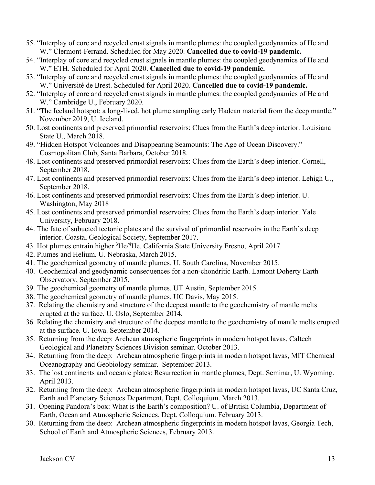- 55. "Interplay of core and recycled crust signals in mantle plumes: the coupled geodynamics of He and W." Clermont-Ferrand. Scheduled for May 2020. **Cancelled due to covid-19 pandemic.**
- 54. "Interplay of core and recycled crust signals in mantle plumes: the coupled geodynamics of He and W." ETH. Scheduled for April 2020. **Cancelled due to covid-19 pandemic.**
- 53. "Interplay of core and recycled crust signals in mantle plumes: the coupled geodynamics of He and W." Université de Brest. Scheduled for April 2020. **Cancelled due to covid-19 pandemic.**
- 52. "Interplay of core and recycled crust signals in mantle plumes: the coupled geodynamics of He and W." Cambridge U., February 2020.
- 51. "The Iceland hotspot: a long-lived, hot plume sampling early Hadean material from the deep mantle." November 2019, U. Iceland.
- 50. Lost continents and preserved primordial reservoirs: Clues from the Earth's deep interior. Louisiana State U., March 2018.
- 49. "Hidden Hotspot Volcanoes and Disappearing Seamounts: The Age of Ocean Discovery." Cosmopolitan Club, Santa Barbara, October 2018.
- 48. Lost continents and preserved primordial reservoirs: Clues from the Earth's deep interior. Cornell, September 2018.
- 47. Lost continents and preserved primordial reservoirs: Clues from the Earth's deep interior. Lehigh U., September 2018.
- 46. Lost continents and preserved primordial reservoirs: Clues from the Earth's deep interior. U. Washington, May 2018
- 45. Lost continents and preserved primordial reservoirs: Clues from the Earth's deep interior. Yale University, February 2018.
- 44. The fate of subucted tectonic plates and the survival of primordial reservoirs in the Earth's deep interior. Coastal Geological Society, September 2017.
- 43. Hot plumes entrain higher <sup>3</sup>He/<sup>4</sup>He. California State University Fresno, April 2017.
- 42. Plumes and Helium. U. Nebraska, March 2015.
- 41. The geochemical geometry of mantle plumes. U. South Carolina, November 2015.
- 40. Geochemical and geodynamic consequences for a non-chondritic Earth. Lamont Doherty Earth Observatory, September 2015.
- 39. The geochemical geometry of mantle plumes. UT Austin, September 2015.
- 38. The geochemical geometry of mantle plumes. UC Davis, May 2015.
- 37. Relating the chemistry and structure of the deepest mantle to the geochemistry of mantle melts erupted at the surface. U. Oslo, September 2014.
- 36. Relating the chemistry and structure of the deepest mantle to the geochemistry of mantle melts erupted at the surface. U. Iowa. September 2014.
- 35. Returning from the deep: Archean atmospheric fingerprints in modern hotspot lavas, Caltech Geological and Planetary Sciences Division seminar. October 2013.
- 34. Returning from the deep: Archean atmospheric fingerprints in modern hotspot lavas, MIT Chemical Oceanography and Geobiology seminar. September 2013.
- 33. The lost continents and oceanic plates: Resurrection in mantle plumes, Dept. Seminar, U. Wyoming. April 2013.
- 32. Returning from the deep: Archean atmospheric fingerprints in modern hotspot lavas, UC Santa Cruz, Earth and Planetary Sciences Department, Dept. Colloquium. March 2013.
- 31. Opening Pandora's box: What is the Earth's composition? U. of British Columbia, Department of Earth, Ocean and Atmospheric Sciences, Dept. Colloquium. February 2013.
- 30. Returning from the deep: Archean atmospheric fingerprints in modern hotspot lavas, Georgia Tech, School of Earth and Atmospheric Sciences, February 2013.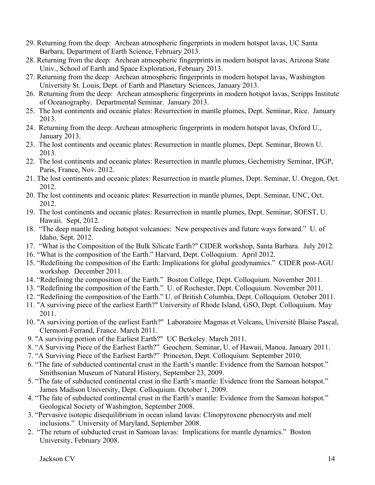- 29. Returning from the deep: Archean atmospheric fingerprints in modern hotspot lavas, UC Santa Barbara, Department of Earth Science, February 2013.
- 28. Returning from the deep: Archean atmospheric fingerprints in modern hotspot lavas, Arizona State Univ., School of Earth and Space Exploration, February 2013.
- 27. Returning from the deep: Archean atmospheric fingerprints in modern hotspot lavas, Washington University St. Louis, Dept. of Earth and Planetary Sciences, January 2013.
- 26. Returning from the deep: Archean atmospheric fingerprints in modern hotspot lavas, Scripps Institute of Oceanography. Departmental Seminar. January 2013.
- 25. The lost continents and oceanic plates: Resurrection in mantle plumes, Dept. Seminar, Rice. January 2013.
- 24. Returning from the deep: Archean atmospheric fingerprints in modern hotspot lavas, Oxford U., January 2013.
- 23. The lost continents and oceanic plates: Resurrection in mantle plumes, Dept. Seminar, Brown U. 2013.
- 22. The lost continents and oceanic plates: Resurrection in mantle plumes, Gechemistry Seminar, IPGP, Paris, France, Nov. 2012.
- 21. The lost continents and oceanic plates: Resurrection in mantle plumes, Dept. Seminar, U. Oregon, Oct. 2012.
- 20. The lost continents and oceanic plates: Resurrection in mantle plumes, Dept. Seminar, UNC, Oct. 2012.
- 19. The lost continents and oceanic plates: Resurrection in mantle plumes, Dept. Seminar, SOEST, U. Hawaii. Sept, 2012.
- 18. "The deep mantle feeding hotspot volcanoes: New perspectives and future ways forward." U. of Idaho, Sept. 2012.
- 17. "What is the Composition of the Bulk Silicate Earth?" CIDER workshop, Santa Barbara. July 2012.
- 16. "What is the composition of the Earth." Harvard, Dept. Colloquium. April 2012.
- 15. "Redefining the composition of the Earth: Implications for global geodynamics." CIDER post-AGU workshop. December 2011.
- 14. "Redefining the composition of the Earth." Boston College, Dept. Colloquium. November 2011.
- 13. "Redefining the composition of the Earth." U. of Rochester, Dept. Colloquium. November 2011.
- 12. "Redefining the composition of the Earth." U. of British Columbia, Dept. Colloquium. October 2011.
- 11. "A surviving piece of the earliest Earth?" University of Rhode Island, GSO, Dept. Colloquium. May 2011.
- 10. "A surviving portion of the earliest Earth?" Laboratoire Magmas et Volcans, Université Blaise Pascal, Clermont-Ferrand, France. March 2011.
- 9. "A surviving portion of the Earliest Earth?" UC Berkeley. March 2011.
- 8. "A Surviving Piece of the Earliest Earth?" Geochem. Seminar, U. of Hawaii, Manoa. January 2011.
- 7. "A Surviving Piece of the Earliest Earth?" Princeton, Dept. Colloquium. September 2010.
- 6. "The fate of subducted continental crust in the Earth's mantle: Evidence from the Samoan hotspot." Smithsonian Museum of Natural History, September 23, 2009.
- 5. "The fate of subducted continental crust in the Earth's mantle: Evidence from the Samoan hotspot." James Madison University, Dept. Colloquium. October 1, 2009.
- 4. "The fate of subducted continental crust in the Earth's mantle: Evidence from the Samoan hotspot." Geological Society of Washington, September 2008.
- 3. "Pervasive isotopic disequilibrium in ocean island lavas: Clinopyroxene phenocrysts and melt inclusions." University of Maryland, September 2008.
- 2. "The return of subducted crust in Samoan lavas: Implications for mantle dynamics." Boston University, February 2008.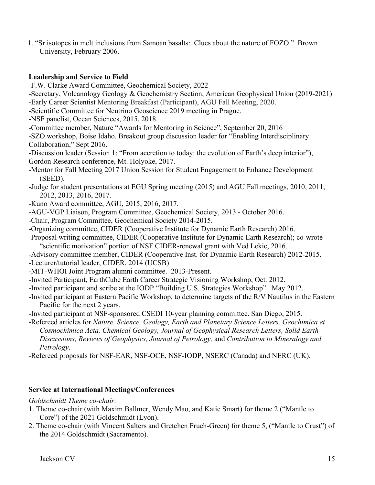1. "Sr isotopes in melt inclusions from Samoan basalts: Clues about the nature of FOZO." Brown University, February 2006.

## **Leadership and Service to Field**

- -F.W. Clarke Award Committee, Geochemical Society, 2022-
- -Secretary, Volcanology Geology & Geochemistry Section, American Geophysical Union (2019-2021) -Early Career Scientist Mentoring Breakfast (Participant), AGU Fall Meeting, 2020.
- -Scientific Committee for Neutrino Geoscience 2019 meeting in Prague.
- -NSF panelist, Ocean Sciences, 2015, 2018.
- -Committee member, Nature "Awards for Mentoring in Science", September 20, 2016

-SZO workshop, Boise Idaho. Breakout group discussion leader for "Enabling Interdisciplinary Collaboration," Sept 2016.

-Discussion leader (Session 1: "From accretion to today: the evolution of Earth's deep interior"), Gordon Research conference, Mt. Holyoke, 2017.

-Mentor for Fall Meeting 2017 Union Session for Student Engagement to Enhance Development (SEED).

-Judge for student presentations at EGU Spring meeting (2015) and AGU Fall meetings, 2010, 2011, 2012, 2013, 2016, 2017.

- -Kuno Award committee, AGU, 2015, 2016, 2017.
- -AGU-VGP Liaison, Program Committee, Geochemical Society, 2013 October 2016.
- -Chair, Program Committee, Geochemical Society 2014-2015.
- -Organizing committee, CIDER (Cooperative Institute for Dynamic Earth Research) 2016.
- -Proposal writing committee, CIDER (Cooperative Institute for Dynamic Earth Research); co-wrote "scientific motivation" portion of NSF CIDER-renewal grant with Ved Lekic, 2016.
- -Advisory committee member, CIDER (Cooperative Inst. for Dynamic Earth Research) 2012-2015.
- -Lecturer/tutorial leader, CIDER, 2014 (UCSB)
- -MIT-WHOI Joint Program alumni committee. 2013-Present.
- -Invited Participant, EarthCube Earth Career Strategic Visioning Workshop, Oct. 2012.
- -Invited participant and scribe at the IODP "Building U.S. Strategies Workshop". May 2012.
- -Invited participant at Eastern Pacific Workshop, to determine targets of the R/V Nautilus in the Eastern Pacific for the next 2 years.
- -Invited participant at NSF-sponsored CSEDI 10-year planning committee. San Diego, 2015.
- -Refereed articles for *Nature, Science, Geology, Earth and Planetary Science Letters, Geochimica et Cosmochimica Acta, Chemical Geology, Journal of Geophysical Research Letters, Solid Earth Discussions, Reviews of Geophysics, Journal of Petrology,* and *Contribution to Mineralogy and Petrology*.
- -Refereed proposals for NSF-EAR, NSF-OCE, NSF-IODP, NSERC (Canada) and NERC (UK).

#### **Service at International Meetings/Conferences**

#### *Goldschmidt Theme co-chair:*

- 1. Theme co-chair (with Maxim Ballmer, Wendy Mao, and Katie Smart) for theme 2 ("Mantle to Core") of the 2021 Goldschmidt (Lyon).
- 2. Theme co-chair (with Vincent Salters and Gretchen Frueh-Green) for theme 5, ("Mantle to Crust") of the 2014 Goldschmidt (Sacramento).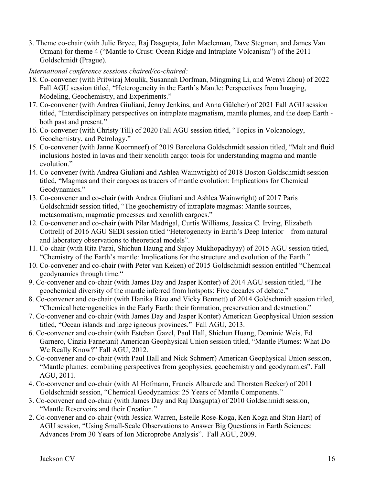3. Theme co-chair (with Julie Bryce, Raj Dasgupta, John Maclennan, Dave Stegman, and James Van Orman) for theme 4 ("Mantle to Crust: Ocean Ridge and Intraplate Volcanism") of the 2011 Goldschmidt (Prague).

*International conference sessions chaired/co-chaired:*

- 18. Co-convener (with Pritwiraj Moulik, Susannah Dorfman, Mingming Li, and Wenyi Zhou) of 2022 Fall AGU session titled, "Heterogeneity in the Earth's Mantle: Perspectives from Imaging, Modeling, Geochemistry, and Experiments."
- 17. Co-convener (with Andrea Giuliani, Jenny Jenkins, and Anna Gülcher) of 2021 Fall AGU session titled, "Interdisciplinary perspectives on intraplate magmatism, mantle plumes, and the deep Earth both past and present."
- 16. Co-convener (with Christy Till) of 2020 Fall AGU session titled, "Topics in Volcanology, Geochemistry, and Petrology."
- 15. Co-convener (with Janne Koornneef) of 2019 Barcelona Goldschmidt session titled, "Melt and fluid inclusions hosted in lavas and their xenolith cargo: tools for understanding magma and mantle evolution."
- 14. Co-convener (with Andrea Giuliani and Ashlea Wainwright) of 2018 Boston Goldschmidt session titled, "Magmas and their cargoes as tracers of mantle evolution: Implications for Chemical Geodynamics."
- 13. Co-convener and co-chair (with Andrea Giuliani and Ashlea Wainwright) of 2017 Paris Goldschmidt session titled, "The geochemistry of intraplate magmas: Mantle sources, metasomatism, magmatic processes and xenolith cargoes."
- 12. Co-convener and co-chair (with Pilar Madrigal, Curtis Williams, Jessica C. Irving, Elizabeth Cottrell) of 2016 AGU SEDI session titled "Heterogeneity in Earth's Deep Interior – from natural and laboratory observations to theoretical models".
- 11. Co-chair (with Rita Parai, Shichun Haung and Sujoy Mukhopadhyay) of 2015 AGU session titled, "Chemistry of the Earth's mantle: Implications for the structure and evolution of the Earth."
- 10. Co-convener and co-chair (with Peter van Keken) of 2015 Goldschmidt session entitled "Chemical geodynamics through time."
- 9. Co-convener and co-chair (with James Day and Jasper Konter) of 2014 AGU session titled, "The geochemical diversity of the mantle inferred from hotspots: Five decades of debate."
- 8. Co-convener and co-chair (with Hanika Rizo and Vicky Bennett) of 2014 Goldschmidt session titled, "Chemical heterogeneities in the Early Earth: their formation, preservation and destruction."
- 7. Co-convener and co-chair (with James Day and Jasper Konter) American Geophysical Union session titled, "Ocean islands and large igneous provinces." Fall AGU, 2013.
- 6. Co-convener and co-chair (with Esteban Gazel, Paul Hall, Shichun Huang, Dominic Weis, Ed Garnero, Cinzia Farnetani) American Geophysical Union session titled, "Mantle Plumes: What Do We Really Know?" Fall AGU, 2012.
- 5. Co-convener and co-chair (with Paul Hall and Nick Schmerr) American Geophysical Union session, "Mantle plumes: combining perspectives from geophysics, geochemistry and geodynamics". Fall AGU, 2011.
- 4. Co-convener and co-chair (with Al Hofmann, Francis Albarede and Thorsten Becker) of 2011 Goldschmidt session, "Chemical Geodynamics: 25 Years of Mantle Components."
- 3. Co-convener and co-chair (with James Day and Raj Dasgupta) of 2010 Goldschmidt session, "Mantle Reservoirs and their Creation."
- 2. Co-convener and co-chair (with Jessica Warren, Estelle Rose-Koga, Ken Koga and Stan Hart) of AGU session, "Using Small-Scale Observations to Answer Big Questions in Earth Sciences: Advances From 30 Years of Ion Microprobe Analysis". Fall AGU, 2009.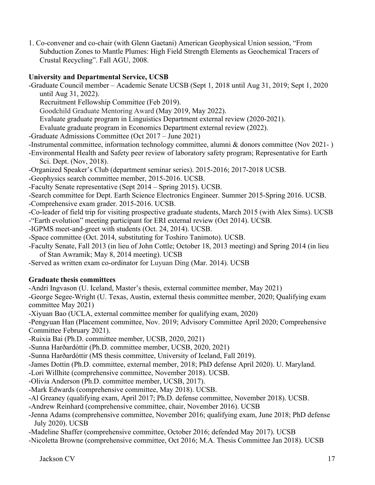1. Co-convener and co-chair (with Glenn Gaetani) American Geophysical Union session, "From Subduction Zones to Mantle Plumes: High Field Strength Elements as Geochemical Tracers of Crustal Recycling". Fall AGU, 2008.

## **University and Departmental Service, UCSB**

-Graduate Council member – Academic Senate UCSB (Sept 1, 2018 until Aug 31, 2019; Sept 1, 2020 until Aug 31, 2022).

Recruitment Fellowship Committee (Feb 2019).

Goodchild Graduate Mentoring Award (May 2019, May 2022).

Evaluate graduate program in Linguistics Department external review (2020-2021).

Evaluate graduate program in Economics Department external review (2022).

- -Graduate Admissions Committee (Oct 2017 June 2021)
- -Instrumental committee, information technology committee, alumni & donors committee (Nov 2021- )
- -Environmental Health and Safety peer review of laboratory safety program; Representative for Earth Sci. Dept. (Nov, 2018).

-Organized Speaker's Club (department seminar series). 2015-2016; 2017-2018 UCSB.

-Geophysics search committee member, 2015-2016. UCSB.

-Faculty Senate representative (Sept 2014 – Spring 2015). UCSB.

-Search committee for Dept. Earth Science Electronics Engineer. Summer 2015-Spring 2016. UCSB.

-Comprehensive exam grader. 2015-2016. UCSB.

-Co-leader of field trip for visiting prospective graduate students, March 2015 (with Alex Sims). UCSB

-"Earth evolution" meeting participant for ERI external review (Oct 2014). UCSB.

-IGPMS meet-and-greet with students (Oct. 24, 2014). UCSB.

-Space committee (Oct. 2014, substituting for Toshiro Tanimoto). UCSB.

-Faculty Senate, Fall 2013 (in lieu of John Cottle; October 18, 2013 meeting) and Spring 2014 (in lieu of Stan Awramik; May 8, 2014 meeting). UCSB

-Served as written exam co-ordinator for Luyuan Ding (Mar. 2014). UCSB

## **Graduate thesis committees**

-Andri Ingvason (U. Iceland, Master's thesis, external committee member, May 2021)

-George Segee-Wright (U. Texas, Austin, external thesis committee member, 2020; Qualifying exam committee May 2021)

-Xiyuan Bao (UCLA, external committee member for qualifying exam, 2020)

-Pengyuan Han (Placement committee, Nov. 2019; Advisory Committee April 2020; Comprehensive Committee February 2021).

-Ruixia Bai (Ph.D. committee member, UCSB, 2020, 2021)

- -Sunna Harðardóttir (Ph.D. committee member, UCSB, 2020, 2021)
- -Sunna Harðardóttir (MS thesis committee, University of Iceland, Fall 2019).

-James Dottin (Ph.D. committee, external member, 2018; PhD defense April 2020). U. Maryland.

-Lori Willhite (comprehensive committee, November 2018). UCSB.

-Olivia Anderson (Ph.D. committee member, UCSB, 2017).

-Mark Edwards (comprehensive committee, May 2018). UCSB.

-Al Greaney (qualifying exam, April 2017; Ph.D. defense committee, November 2018). UCSB.

-Andrew Reinhard (comprehensive committee, chair, November 2016). UCSB

-Jenna Adams (comprehensive committee, November 2016; qualifying exam, June 2018; PhD defense July 2020). UCSB

-Madeline Shaffer (comprehensive committee, October 2016; defended May 2017). UCSB

-Nicoletta Browne (comprehensive committee, Oct 2016; M.A. Thesis Committee Jan 2018). UCSB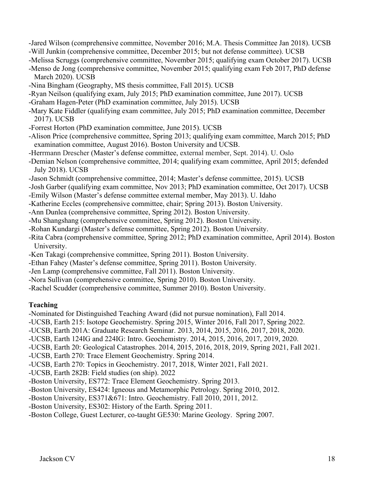- -Jared Wilson (comprehensive committee, November 2016; M.A. Thesis Committee Jan 2018). UCSB -Will Junkin (comprehensive committee, December 2015; but not defense committee). UCSB
- -Melissa Scruggs (comprehensive committee, November 2015; qualifying exam October 2017). UCSB
- -Menso de Jong (comprehensive committee, November 2015; qualifying exam Feb 2017, PhD defense March 2020). UCSB
- -Nina Bingham (Geography, MS thesis committee, Fall 2015). UCSB
- -Ryan Neilson (qualifying exam, July 2015; PhD examination committee, June 2017). UCSB
- -Graham Hagen-Peter (PhD examination committee, July 2015). UCSB
- -Mary Kate Fiddler (qualifying exam committee, July 2015; PhD examination committee, December 2017). UCSB
- -Forrest Horton (PhD examination committee, June 2015). UCSB
- -Alison Price (comprehensive committee, Spring 2013; qualifying exam committee, March 2015; PhD examination committee, August 2016). Boston University and UCSB.
- -Herrmann Drescher (Master's defense committee, external member, Sept. 2014). U. Oslo
- -Demian Nelson (comprehensive committee, 2014; qualifying exam committee, April 2015; defended July 2018). UCSB
- -Jason Schmidt (comprehensive committee, 2014; Master's defense committee, 2015). UCSB
- -Josh Garber (qualifying exam committee, Nov 2013; PhD examination committee, Oct 2017). UCSB
- -Emily Wilson (Master's defense committee external member, May 2013). U. Idaho
- -Katherine Eccles (comprehensive committee, chair; Spring 2013). Boston University.
- -Ann Dunlea (comprehensive committee, Spring 2012). Boston University.
- -Mu Shangshang (comprehensive committee, Spring 2012). Boston University.
- -Rohan Kundargi (Master's defense committee, Spring 2012). Boston University.
- -Rita Cabra (comprehensive committee, Spring 2012; PhD examination committee, April 2014). Boston University.
- -Ken Takagi (comprehensive committee, Spring 2011). Boston University.
- -Ethan Fahey (Master's defense committee, Spring 2011). Boston University.
- -Jen Lamp (comprehensive committee, Fall 2011). Boston University.
- -Nora Sullivan (comprehensive committee, Spring 2010). Boston University.
- -Rachel Scudder (comprehensive committee, Summer 2010). Boston University.

## **Teaching**

- -Nominated for Distinguished Teaching Award (did not pursue nomination), Fall 2014.
- -UCSB, Earth 215: Isotope Geochemistry. Spring 2015, Winter 2016, Fall 2017, Spring 2022.
- -UCSB, Earth 201A: Graduate Research Seminar. 2013, 2014, 2015, 2016, 2017, 2018, 2020.
- -UCSB, Earth 124IG and 224IG: Intro. Geochemistry. 2014, 2015, 2016, 2017, 2019, 2020.
- -UCSB, Earth 20: Geological Catastrophes. 2014, 2015, 2016, 2018, 2019, Spring 2021, Fall 2021.
- -UCSB, Earth 270: Trace Element Geochemistry. Spring 2014.
- -UCSB, Earth 270: Topics in Geochemistry. 2017, 2018, Winter 2021, Fall 2021.
- -UCSB, Earth 282B: Field studies (on ship). 2022
- -Boston University, ES772: Trace Element Geochemistry. Spring 2013.
- -Boston University, ES424: Igneous and Metamorphic Petrology. Spring 2010, 2012.
- -Boston University, ES371&671: Intro. Geochemistry. Fall 2010, 2011, 2012.
- -Boston University, ES302: History of the Earth. Spring 2011.
- -Boston College, Guest Lecturer, co-taught GE530: Marine Geology. Spring 2007.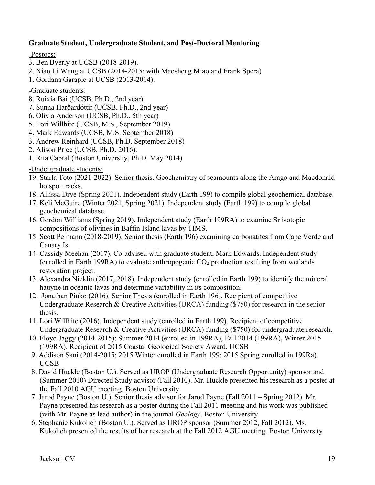## **Graduate Student, Undergraduate Student, and Post-Doctoral Mentoring**

### -Postocs:

- 3. Ben Byerly at UCSB (2018-2019).
- 2. Xiao Li Wang at UCSB (2014-2015; with Maosheng Miao and Frank Spera)
- 1. Gordana Garapic at UCSB (2013-2014).

## -Graduate students:

- 8. Ruixia Bai (UCSB, Ph.D., 2nd year)
- 7. Sunna Harðardóttir (UCSB, Ph.D., 2nd year)
- 6. Olivia Anderson (UCSB, Ph.D., 5th year)
- 5. Lori Willhite (UCSB, M.S., September 2019)
- 4. Mark Edwards (UCSB, M.S. September 2018)
- 3. Andrew Reinhard (UCSB, Ph.D. September 2018)
- 2. Alison Price (UCSB, Ph.D. 2016).
- 1. Rita Cabral (Boston University, Ph.D. May 2014)

## -Undergraduate students:

- 19. Starla Toto (2021-2022). Senior thesis. Geochemistry of seamounts along the Arago and Macdonald hotspot tracks.
- 18. Allissa Drye (Spring 2021). Independent study (Earth 199) to compile global geochemical database.
- 17. Keli McGuire (Winter 2021, Spring 2021). Independent study (Earth 199) to compile global geochemical database.
- 16. Gordon Williams (Spring 2019). Independent study (Earth 199RA) to examine Sr isotopic compositions of olivines in Baffin Island lavas by TIMS.
- 15. Scott Peimann (2018-2019). Senior thesis (Earth 196) examining carbonatites from Cape Verde and Canary Is.
- 14. Cassidy Meehan (2017). Co-advised with graduate student, Mark Edwards. Independent study (enrolled in Earth 199RA) to evaluate anthropogenic  $CO<sub>2</sub>$  production resulting from wetlands restoration project.
- 13. Alexandra Nicklin (2017, 2018). Independent study (enrolled in Earth 199) to identify the mineral hauyne in oceanic lavas and determine variability in its composition.
- 12. Jonathan Pinko (2016). Senior Thesis (enrolled in Earth 196). Recipient of competitive Undergraduate Research & Creative Activities (URCA) funding (\$750) for research in the senior thesis.
- 11. Lori Willhite (2016). Independent study (enrolled in Earth 199). Recipient of competitive Undergraduate Research & Creative Activities (URCA) funding (\$750) for undergraduate research.
- 10. Floyd Jaggy (2014-2015); Summer 2014 (enrolled in 199RA), Fall 2014 (199RA), Winter 2015 (199RA). Recipient of 2015 Coastal Geological Society Award. UCSB
- 9. Addison Sani (2014-2015; 2015 Winter enrolled in Earth 199; 2015 Spring enrolled in 199Ra). UCSB
- 8. David Huckle (Boston U.). Served as UROP (Undergraduate Research Opportunity) sponsor and (Summer 2010) Directed Study advisor (Fall 2010). Mr. Huckle presented his research as a poster at the Fall 2010 AGU meeting. Boston University
- 7. Jarod Payne (Boston U.). Senior thesis advisor for Jarod Payne (Fall 2011 Spring 2012). Mr. Payne presented his research as a poster during the Fall 2011 meeting and his work was published (with Mr. Payne as lead author) in the journal *Geology*. Boston University
- 6. Stephanie Kukolich (Boston U.). Served as UROP sponsor (Summer 2012, Fall 2012). Ms. Kukolich presented the results of her research at the Fall 2012 AGU meeting. Boston University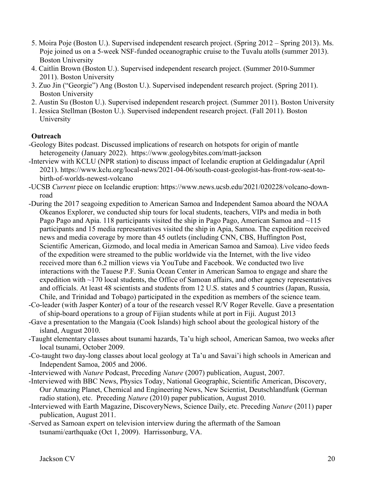- 5. Moira Poje (Boston U.). Supervised independent research project. (Spring 2012 Spring 2013). Ms. Poje joined us on a 5-week NSF-funded oceanographic cruise to the Tuvalu atolls (summer 2013). Boston University
- 4. Caitlin Brown (Boston U.). Supervised independent research project. (Summer 2010-Summer 2011). Boston University
- 3. Zuo Jin ("Georgie") Ang (Boston U.). Supervised independent research project. (Spring 2011). Boston University
- 2. Austin Su (Boston U.). Supervised independent research project. (Summer 2011). Boston University
- 1. Jessica Stellman (Boston U.). Supervised independent research project. (Fall 2011). Boston University

## **Outreach**

- -Geology Bites podcast. Discussed implications of research on hotspots for origin of mantle heterogeneity (January 2022). https://www.geologybites.com/matt-jackson
- -Interview with KCLU (NPR station) to discuss impact of Icelandic eruption at Geldingadalur (April 2021). https://www.kclu.org/local-news/2021-04-06/south-coast-geologist-has-front-row-seat-tobirth-of-worlds-newest-volcano
- -UCSB *Current* piece on Icelandic eruption: https://www.news.ucsb.edu/2021/020228/volcano-downroad
- -During the 2017 seagoing expedition to American Samoa and Independent Samoa aboard the NOAA Okeanos Explorer, we conducted ship tours for local students, teachers, VIPs and media in both Pago Pago and Apia. 118 participants visited the ship in Pago Pago, American Samoa and ~115 participants and 15 media representatives visited the ship in Apia, Samoa. The expedition received news and media coverage by more than 45 outlets (including CNN, CBS, Huffington Post, Scientific American, Gizmodo, and local media in American Samoa and Samoa). Live video feeds of the expedition were streamed to the public worldwide via the Internet, with the live video received more than 6.2 million views via YouTube and Facebook. We conducted two live interactions with the Tauese P.F. Sunia Ocean Center in American Samoa to engage and share the expedition with ~170 local students, the Office of Samoan affairs, and other agency representatives and officials. At least 48 scientists and students from 12 U.S. states and 5 countries (Japan, Russia, Chile, and Trinidad and Tobago) participated in the expedition as members of the science team.
- -Co-leader (with Jasper Konter) of a tour of the research vessel R/V Roger Revelle. Gave a presentation of ship-board operations to a group of Fijian students while at port in Fiji. August 2013
- -Gave a presentation to the Mangaia (Cook Islands) high school about the geological history of the island, August 2010.
- -Taught elementary classes about tsunami hazards, Ta'u high school, American Samoa, two weeks after local tsunami, October 2009.
- -Co-taught two day-long classes about local geology at Ta'u and Savai'i high schools in American and Independent Samoa, 2005 and 2006.
- -Interviewed with *Nature* Podcast, Preceding *Nature* (2007) publication, August, 2007.
- -Interviewed with BBC News, Physics Today, National Geographic, Scientific American, Discovery, Our Amazing Planet, Chemical and Engineering News, New Scientist, Deutschlandfunk (German radio station), etc. Preceding *Nature* (2010) paper publication, August 2010.
- -Interviewed with Earth Magazine, DiscoveryNews, Science Daily, etc. Preceding *Nature* (2011) paper publication, August 2011.
- -Served as Samoan expert on television interview during the aftermath of the Samoan tsunami/earthquake (Oct 1, 2009). Harrissonburg, VA.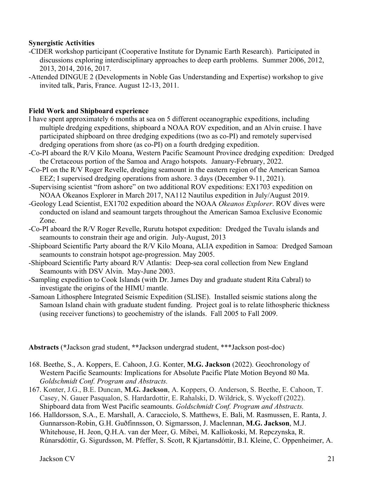## **Synergistic Activities**

- -CIDER workshop participant (Cooperative Institute for Dynamic Earth Research). Participated in discussions exploring interdisciplinary approaches to deep earth problems. Summer 2006, 2012, 2013, 2014, 2016, 2017.
- -Attended DINGUE 2 (Developments in Noble Gas Understanding and Expertise) workshop to give invited talk, Paris, France. August 12-13, 2011.

## **Field Work and Shipboard experience**

- I have spent approximately 6 months at sea on 5 different oceanographic expeditions, including multiple dredging expeditions, shipboard a NOAA ROV expedition, and an Alvin cruise. I have participated shipboard on three dredging expeditions (two as co-PI) and remotely supervised dredging operations from shore (as co-PI) on a fourth dredging expedition.
- -Co-PI aboard the R/V Kilo Moana, Western Pacific Seamount Province dredging expedition: Dredged the Cretaceous portion of the Samoa and Arago hotspots. January-February, 2022.
- -Co-PI on the R/V Roger Revelle, dredging seamount in the eastern region of the American Samoa EEZ; I supervised dredging operations from ashore. 3 days (December 9-11, 2021).
- -Supervising scientist "from ashore" on two additional ROV expeditions: EX1703 expedition on NOAA Okeanos Explorer in March 2017, NA112 Nautilus expedition in July/August 2019.
- -Geology Lead Scientist, EX1702 expedition aboard the NOAA *Okeanos Explorer*. ROV dives were conducted on island and seamount targets throughout the American Samoa Exclusive Economic Zone.
- -Co-PI aboard the R/V Roger Revelle, Rurutu hotspot expedition: Dredged the Tuvalu islands and seamounts to constrain their age and origin. July-August, 2013
- -Shipboard Scientific Party aboard the R/V Kilo Moana, ALIA expedition in Samoa: Dredged Samoan seamounts to constrain hotspot age-progression. May 2005.
- -Shipboard Scientific Party aboard R/V Atlantis: Deep-sea coral collection from New England Seamounts with DSV Alvin. May-June 2003.
- -Sampling expedition to Cook Islands (with Dr. James Day and graduate student Rita Cabral) to investigate the origins of the HIMU mantle.
- -Samoan Lithosphere Integrated Seismic Expedition (SLISE). Installed seismic stations along the Samoan Island chain with graduate student funding. Project goal is to relate lithospheric thickness (using receiver functions) to geochemistry of the islands. Fall 2005 to Fall 2009.

**Abstracts** (**\***Jackson grad student, **\*\***Jackson undergrad student, \*\*\*Jackson post-doc)

- 168. Beethe, S., A. Koppers, E. Cahoon, J.G. Konter, **M.G. Jackson** (2022). Geochronology of Western Pacific Seamounts: Implications for Absolute Pacific Plate Motion Beyond 80 Ma. *Goldschmidt Conf. Program and Abstracts.*
- 167. Konter, J.G., B.E. Duncan, **M.G. Jackson**, A. Koppers, O. Anderson, S. Beethe, E. Cahoon, T. Casey, N. Gauer Pasqualon, S. Hardardottir, E. Rahalski, D. Wildrick, S. Wyckoff (2022). Shipboard data from West Pacific seamounts. *Goldschmidt Conf. Program and Abstracts.*
- 166. Halldorsson, S.A., E. Marshall, A. Caracciolo, S. Matthews, E. Bali, M. Rasmussen, E. Ranta, J. Gunnarsson-Robin, G.H. Guðfinnsson, O. Sigmarsson, J. Maclennan, **M.G. Jackson**, M.J. Whitehouse, H. Jeon, Q.H.A. van der Meer, G. Mibei, M. Kalliokoski, M. Repczynska, R. Rúnarsdóttir, G. Sigurdsson, M. Pfeffer, S. Scott, R Kjartansdóttir, B.I. Kleine, C. Oppenheimer, A.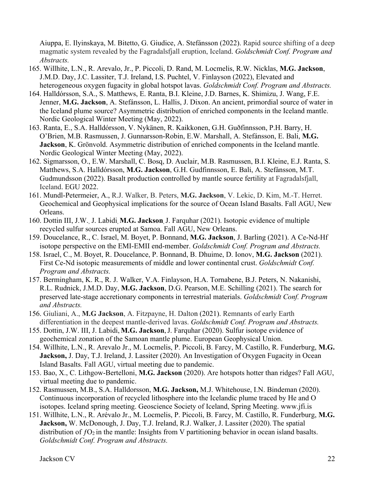Aiuppa, E. Ilyinskaya, M. Bitetto, G. Giudice, A. Stefánsson (2022). Rapid source shifting of a deep magmatic system revealed by the Fagradalsfjall eruption, Iceland. *Goldschmidt Conf. Program and Abstracts.*

- 165. Willhite, L.N., R. Arevalo, Jr., P. Piccoli, D. Rand, M. Locmelis, R.W. Nicklas, **M.G. Jackson**, J.M.D. Day, J.C. Lassiter, T.J. Ireland, I.S. Puchtel, V. Finlayson (2022), Elevated and heterogeneous oxygen fugacity in global hotspot lavas. *Goldschmidt Conf. Program and Abstracts.*
- 164. Halldórsson, S.A., S. Matthews, E. Ranta, B.I. Kleine, J.D. Barnes, K. Shimizu, J. Wang, F.E. Jenner, **M.G. Jackson**, A. Stefánsson, L. Hallis, J. Dixon. An ancient, primordial source of water in the Iceland plume source? Asymmetric distribution of enriched components in the Iceland mantle. Nordic Geological Winter Meeting (May, 2022).
- 163. Ranta, E., S.A. Halldórsson, V. Nykänen, R. Kaikkonen, G.H. Guðfinnsson, P.H. Barry, H. O'Brien, M.B. Rasmussen, J. Gunnarsson-Robin, E.W. Marshall, A. Stefánsson, E. Bali, **M.G. Jackson**, K. Grönvold. Asymmetric distribution of enriched components in the Iceland mantle. Nordic Geological Winter Meeting (May, 2022).
- 162. Sigmarsson, O., E.W. Marshall, C. Bosq, D. Auclair, M.B. Rasmussen, B.I. Kleine, E.J. Ranta, S. Matthews, S.A. Halldórsson, **M.G. Jackson**, G.H. Gudfinnsson, E. Bali, A. Stefánsson, M.T. Gudmundsson (2022). Basalt production controlled by mantle source fertility at Fagradalsfjall, Iceland. EGU 2022.
- 161. Mundl-Petermeier, A., R.J. Walker, B. Peters, **M.G. Jackson**, V. Lekic, D. Kim, M.-T. Herret. Geochemical and Geophysical implications for the source of Ocean Island Basalts. Fall AGU, New Orleans.
- 160. Dottin III, J.W., J. Labidi, **M.G. Jackson**, J. Farquhar (2021). Isotopic evidence of multiple recycled sulfur sources erupted at Samoa. Fall AGU, New Orleans.
- 159. Doucelance, R., C. Israel, M. Boyet, P. Bonnand, **M.G. Jackson**, J. Barling (2021). A Ce-Nd-Hf isotope perspective on the EMI-EMII end-member. *Goldschmidt Conf. Program and Abstracts.*
- 158. Israel, C., M. Boyet, R. Doucelance, P. Bonnand, B. Dhuime, D. Ionov, **M.G. Jackson** (2021). First Ce-Nd isotopic measurements of middle and lower continental crust. *Goldschmidt Conf. Program and Abstracts.*
- 157. Bermingham, K. R., R. J. Walker, V.A. Finlayson, H.A. Tornabene, B.J. Peters, N. Nakanishi, R.L. Rudnick, J.M.D. Day, **M.G. Jackson**, D.G. Pearson, M.E. Schilling (2021). The search for preserved late-stage accretionary components in terrestrial materials. *Goldschmidt Conf. Program and Abstracts.*
- 156. Giuliani, A., **M.G Jackson**, A. Fitzpayne, H. Dalton (2021). Remnants of early Earth differentiation in the deepest mantle-derived lavas. *Goldschmidt Conf. Program and Abstracts.*
- 155. Dottin, J.W. III, J. Labidi, **M.G. Jackson**,J. Farquhar (2020). Sulfur isotope evidence of geochemical zonation of the Samoan mantle plume. European Geophysical Union.
- 154. Willhite, L.N., R. Arevalo Jr., M. Locmelis, P. Piccoli, B. Farcy, M. Castillo, R. Funderburg, **M.G. Jackson,** J. Day, T.J. Ireland, J. Lassiter (2020). An Investigation of Oxygen Fugacity in Ocean Island Basalts. Fall AGU, virtual meeting due to pandemic.
- 153. Bao, X., C. Lithgow-Bertelloni, **M.G. Jackson** (2020). Are hotspots hotter than ridges? Fall AGU, virtual meeting due to pandemic.
- 152. Rasmussen, M.B., S.A. Halldorsson, **M.G. Jackson,** M.J. Whitehouse, I.N. Bindeman (2020). Continuous incorporation of recycled lithosphere into the Icelandic plume traced by He and O isotopes. Iceland spring meeting. Geoscience Society of Iceland, Spring Meeting. www.jfi.is
- 151. Willhite, L.N., R. Arévalo Jr., M. Locmelis, P. Piccoli, B. Farcy, M. Castillo, R. Funderburg, **M.G. Jackson,** W. McDonough, J. Day, T.J. Ireland, R.J. Walker, J. Lassiter (2020). The spatial distribution of  $fO_2$  in the mantle: Insights from V partitioning behavior in ocean island basalts. *Goldschmidt Conf. Program and Abstracts.*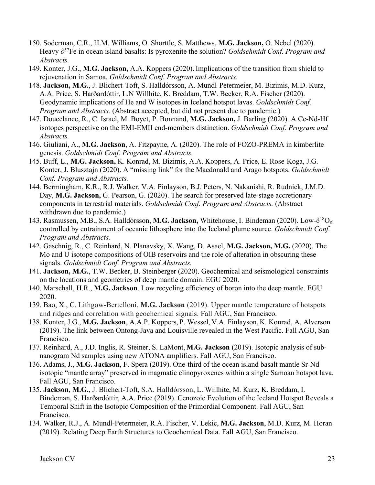- 150. Soderman, C.R., H.M. Williams, O. Shorttle, S. Matthews, **M.G. Jackson,** O. Nebel (2020). Heavy ∂57Fe in ocean island basalts: Is pyroxenite the solution? *Goldschmidt Conf. Program and Abstracts.*
- 149. Konter, J.G., **M.G. Jackson,** A.A. Koppers (2020). Implications of the transition from shield to rejuvenation in Samoa. *Goldschmidt Conf. Program and Abstracts.*
- 148. **Jackson, M.G.**, J. Blichert-Toft, S. Halldórsson, A. Mundl-Petermeier, M. Bizimis, M.D. Kurz, A.A. Price, S. Harðardóttir, L.N Willhite, K. Breddam, T.W. Becker, R.A. Fischer (2020). Geodynamic implications of He and W isotopes in Iceland hotspot lavas. *Goldschmidt Conf. Program and Abstracts.* (Abstract accepted, but did not present due to pandemic.)
- 147. Doucelance, R., C. Israel, M. Boyet, P. Bonnand, **M.G. Jackson,** J. Barling (2020). A Ce-Nd-Hf isotopes perspective on the EMI-EMII end-members distinction. *Goldschmidt Conf. Program and Abstracts.*
- 146. Giuliani, A., **M.G. Jackson**, A. Fitzpayne, A. (2020). The role of FOZO-PREMA in kimberlite genesis. *Goldschmidt Conf. Program and Abstracts.*
- 145. Buff, L., **M.G. Jackson,** K. Konrad, M. Bizimis, A.A. Koppers, A. Price, E. Rose-Koga, J.G. Konter, J. Blusztajn (2020). A "missing link" for the Macdonald and Arago hotspots. *Goldschmidt Conf. Program and Abstracts.*
- 144. Bermingham, K.R., R.J. Walker, V.A. Finlayson, B.J. Peters, N. Nakanishi, R. Rudnick, J.M.D. Day, **M.G. Jackson,** G. Pearson, G. (2020). The search for preserved late-stage accretionary components in terrestrial materials. *Goldschmidt Conf. Program and Abstracts.* (Abstract withdrawn due to pandemic.)
- 143. Rasmussen, M.B., S.A. Halldórsson, **M.G. Jackson,** Whitehouse, I. Bindeman (2020). Low-δ18Ool controlled by entrainment of oceanic lithosphere into the Iceland plume source. *Goldschmidt Conf. Program and Abstracts.*
- 142. Gaschnig, R., C. Reinhard, N. Planavsky, X. Wang, D. Asael, **M.G. Jackson, M.G.** (2020). The Mo and U isotope compositions of OIB reservoirs and the role of alteration in obscuring these signals. *Goldschmidt Conf. Program and Abstracts.*
- 141. **Jackson, M.G.**, T.W. Becker, B. Steinberger (2020). Geochemical and seismological constraints on the locations and geometries of deep mantle domain. EGU 2020.
- 140. Marschall, H.R., **M.G. Jackson**. Low recycling efficiency of boron into the deep mantle. EGU 2020.
- 139. Bao, X., C. Lithgow-Bertelloni, **M.G. Jackson** (2019). Upper mantle temperature of hotspots and ridges and correlation with geochemical signals. Fall AGU, San Francisco.
- 138. Konter, J.G., **M.G. Jackson**, A.A.P. Koppers, P. Wessel, V.A. Finlayson, K. Konrad, A. Alverson (2019). The link between Ontong-Java and Louisville revealed in the West Pacific. Fall AGU, San Francisco.
- 137. Reinhard, A., J.D. Inglis, R. Steiner, S. LaMont, **M.G. Jackson** (2019). Isotopic analysis of subnanogram Nd samples using new ATONA amplifiers. Fall AGU, San Francisco.
- 136. Adams, J., **M.G. Jackson**, F. Spera (2019). One-third of the ocean island basalt mantle Sr-Nd isotopic "mantle array" preserved in magmatic clinopyroxenes within a single Samoan hotspot lava. Fall AGU, San Francisco.
- 135. **Jackson, M.G.**, J. Blichert-Toft, S.A. Halldórsson, L. Willhite, M. Kurz, K. Breddam, I. Bindeman, S. Harðardóttir, A.A. Price (2019). Cenozoic Evolution of the Iceland Hotspot Reveals a Temporal Shift in the Isotopic Composition of the Primordial Component. Fall AGU, San Francisco.
- 134. Walker, R.J., A. Mundl-Petermeier, R.A. Fischer, V. Lekic, **M.G. Jackson**, M.D. Kurz, M. Horan (2019). Relating Deep Earth Structures to Geochemical Data. Fall AGU, San Francisco.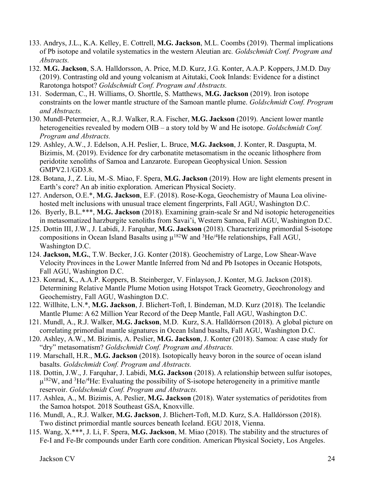- 133. Andrys, J.L., K.A. Kelley, E. Cottrell, **M.G. Jackson**, M.L. Coombs (2019). Thermal implications of Pb isotope and volatile systematics in the western Aleutian arc*. Goldschmidt Conf. Program and Abstracts.*
- 132. **M.G. Jackson**, S.A. Halldorsson, A. Price, M.D. Kurz, J.G. Konter, A.A.P. Koppers, J.M.D. Day (2019). Contrasting old and young volcanism at Aitutaki, Cook Inlands: Evidence for a distinct Rarotonga hotspot? *Goldschmidt Conf. Program and Abstracts.*
- 131. Soderman, C., H. Williams, O. Shorttle, S. Matthews, **M.G. Jackson** (2019). Iron isotope constraints on the lower mantle structure of the Samoan mantle plume. *Goldschmidt Conf. Program and Abstracts.*
- 130. Mundl-Petermeier, A., R.J. Walker, R.A. Fischer, **M.G. Jackson** (2019). Ancient lower mantle heterogeneities revealed by modern OIB – a story told by W and He isotope. *Goldschmidt Conf. Program and Abstracts.*
- 129. Ashley, A.W., J. Edelson, A.H. Peslier, L. Bruce, **M.G. Jackson**, J. Konter, R. Dasgupta, M. Bizimis, M. (2019). Evidence for dry carbonatite metasomatism in the oceanic lithosphere from peridotite xenoliths of Samoa and Lanzarote. European Geophysical Union. Session GMPV2.1/GD3.8.
- 128. Botana, J., Z. Liu, M.-S. Miao, F. Spera, **M.G. Jackson** (2019). How are light elements present in Earth's core? An ab initio exploration. American Physical Society.
- 127. Anderson, O.E.\*, **M.G. Jackson**, E.F. (2018). Rose-Koga, Geochemistry of Mauna Loa olivinehosted melt inclusions with unusual trace element fingerprints, Fall AGU, Washington D.C.
- 126. Byerly, B.L.\*\*\*, **M.G. Jackson** (2018). Examining grain-scale Sr and Nd isotopic heterogeneities in metasomatized harzburgite xenoliths from Savai'i, Western Samoa, Fall AGU, Washington D.C.
- 125. Dottin III, J.W., J. Labidi, J. Farquhar, **M.G. Jackson** (2018). Characterizing primordial S-isotope compositions in Ocean Island Basalts using  $\mu^{182}W$  and  ${}^{3}He/{}^{4}He$  relationships, Fall AGU, Washington D.C.
- 124. **Jackson, M.G.**, T.W. Becker, J.G. Konter (2018). Geochemistry of Large, Low Shear-Wave Velocity Provinces in the Lower Mantle Inferred from Nd and Pb Isotopes in Oceanic Hotspots, Fall AGU, Washington D.C.
- 123. Konrad, K., A.A.P. Koppers, B. Steinberger, V. Finlayson,J. Konter, M.G. Jackson (2018). Determining Relative Mantle Plume Motion using Hotspot Track Geometry, Geochronology and Geochemistry, Fall AGU, Washington D.C.
- 122. Willhite, L.N.\*, **M.G. Jackson**, J. Blichert-Toft, I. Bindeman, M.D. Kurz (2018). The Icelandic Mantle Plume: A 62 Million Year Record of the Deep Mantle, Fall AGU, Washington D.C.
- 121. Mundl, A., R.J. Walker, **M.G. Jackson**, M.D. Kurz, S.A. Halldórrson (2018). A global picture on correlating primordial mantle signatures in Ocean Island basalts, Fall AGU, Washington D.C.
- 120. Ashley, A.W., M. Bizimis, A. Peslier, **M.G. Jackson**, J. Konter (2018). Samoa: A case study for "dry" metasomatism? *Goldschmidt Conf. Program and Abstracts.*
- 119. Marschall, H.R., **M.G. Jackson** (2018). Isotopically heavy boron in the source of ocean island basalts. *Goldschmidt Conf. Program and Abstracts.*
- 118. Dottin, J.W., J. Farquhar, J. Labidi, **M.G. Jackson** (2018). A relationship between sulfur isotopes,  $\mu^{182}$ W, and <sup>3</sup>He/<sup>4</sup>He: Evaluating the possibility of S-isotope heterogeneity in a primitive mantle reservoir. *Goldschmidt Conf. Program and Abstracts.*
- 117. Ashlea, A., M. Bizimis, A. Peslier, **M.G. Jackson** (2018). Water systematics of peridotites from the Samoa hotspot. 2018 Southeast GSA, Knoxville.
- 116. Mundl, A., R.J. Walker, **M.G. Jackson**, J. Blichert-Toft, M.D. Kurz, S.A. Halldórsson (2018). Two distinct primordial mantle sources beneath Iceland. EGU 2018, Vienna.
- 115. Wang, X.\*\*\*, J. Li, F. Spera, **M.G. Jackson**, M. Miao (2018). The stability and the structures of Fe-I and Fe-Br compounds under Earth core condition. American Physical Society, Los Angeles.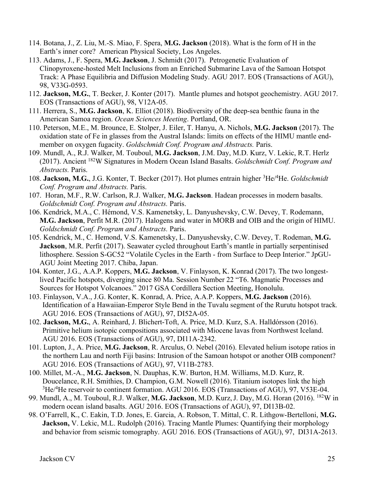- 114. Botana, J., Z. Liu, M.-S. Miao, F. Spera, **M.G. Jackson** (2018). What is the form of H in the Earth's inner core? American Physical Society, Los Angeles.
- 113. Adams, J., F. Spera, **M.G. Jackson**, J. Schmidt (2017). Petrogenetic Evaluation of Clinopyroxene-hosted Melt Inclusions from an Enriched Submarine Lava of the Samoan Hotspot Track: A Phase Equilibria and Diffusion Modeling Study. AGU 2017. EOS (Transactions of AGU), 98, V33G-0593.
- 112. **Jackson, M.G.**, T. Becker, J. Konter (2017). Mantle plumes and hotspot geochemistry. AGU 2017. EOS (Transactions of AGU), 98, V12A-05.
- 111. Herrera, S., **M.G. Jackson**, K. Elliot (2018). Biodiversity of the deep-sea benthic fauna in the American Samoa region. *Ocean Sciences Meeting*. Portland, OR.
- 110. Peterson, M.E., M. Brounce, E. Stolper, J. Eiler, T. Hanyu, A. Nichols, **M.G. Jackson** (2017). The oxidation state of Fe in glasses from the Austral Islands: limits on effects of the HIMU mantle endmember on oxygen fugacity. *Goldschmidt Conf. Program and Abstracts.* Paris.
- 109. Mundl, A., R.J. Walker, M. Touboul, **M.G. Jackson**, J.M. Day, M.D. Kurz, V. Lekic, R.T. Herlz (2017). Ancient 182W Signatures in Modern Ocean Island Basalts. *Goldschmidt Conf. Program and Abstracts.* Paris.
- 108. **Jackson, M.G.**, J.G. Konter, T. Becker (2017). Hot plumes entrain higher 3 He/4 He. *Goldschmidt Conf. Program and Abstracts.* Paris.
- 107. Horan, M.F., R.W. Carlson, R.J. Walker, **M.G. Jackson**. Hadean processes in modern basalts. *Goldschmidt Conf. Program and Abstracts.* Paris.
- 106. Kendrick, M.A., C. Hémond, V.S. Kamenetsky, L. Danyushevsky, C.W. Devey, T. Rodemann, **M.G. Jackson**, Perfit M.R. (2017). Halogens and water in MORB and OIB and the origin of HIMU. *Goldschmidt Conf. Program and Abstracts.* Paris.
- 105. Kendrick, M., C. Hemond, V.S. Kamenetsky, L. Danyushevsky, C.W. Devey, T. Rodeman, **M.G. Jackson**, M.R. Perfit (2017). Seawater cycled throughout Earth's mantle in partially serpentinised lithosphere. Session S-GC52 "Volatile Cycles in the Earth - from Surface to Deep Interior." JpGU-AGU Joint Meeting 2017. Chiba, Japan.
- 104. Konter, J.G., A.A.P. Koppers, **M.G. Jackson**, V. Finlayson, K. Konrad (2017). The two longestlived Pacific hotspots, diverging since 80 Ma. Session Number 22 "T6. Magmatic Processes and Sources for Hotspot Volcanoes." 2017 GSA Cordillera Section Meeting, Honolulu.
- 103. Finlayson, V.A., J.G. Konter, K. Konrad, A. Price, A.A.P. Koppers, **M.G. Jackson** (2016). Identification of a Hawaiian-Emperor Style Bend in the Tuvalu segment of the Rurutu hotspot track*.*  AGU 2016. EOS (Transactions of AGU), 97, DI52A-05.
- 102. **Jackson, M.G.**, A. Reinhard, J. Blichert-Toft, A. Price, M.D. Kurz, S.A. Halldórsson (2016). Primitive helium isotopic compositions associated with Miocene lavas from Northwest Iceland. AGU 2016. EOS (Transactions of AGU), 97, DI11A-2342.
- 101. Lupton, J., A. Price, **M.G. Jackson**, R. Arculus, O. Nebel (2016). Elevated helium isotope ratios in the northern Lau and north Fiji basins: Intrusion of the Samoan hotspot or another OIB component? AGU 2016. EOS (Transactions of AGU), 97, V11B-2783.
- 100. Millet, M.-A., **M.G. Jackson**, N. Dauphas, K.W. Burton, H.M. Williams, M.D. Kurz, R. Doucelance, R.H. Smithies, D. Champion, G.M. Nowell (2016). Titanium isotopes link the high <sup>3</sup>He/<sup>4</sup>He reservoir to continent formation. AGU 2016. EOS (Transactions of AGU), 97, V53E-04.
- 99. Mundl, A., M. Touboul, R.J. Walker, **M.G. Jackson**, M.D. Kurz,J. Day, M.G. Horan (2016). 182W in modern ocean island basalts. AGU 2016. EOS (Transactions of AGU), 97, DI13B-02.
- 98. O'Farrell, K., C. Eakin, T.D. Jones, E. Garcia, A. Robson, T. Mittal, C. R. Lithgow-Bertelloni, **M.G. Jackson,** V. Lekic, M.L. Rudolph (2016). Tracing Mantle Plumes: Quantifying their morphology and behavior from seismic tomography. AGU 2016. EOS (Transactions of AGU), 97, DI31A-2613.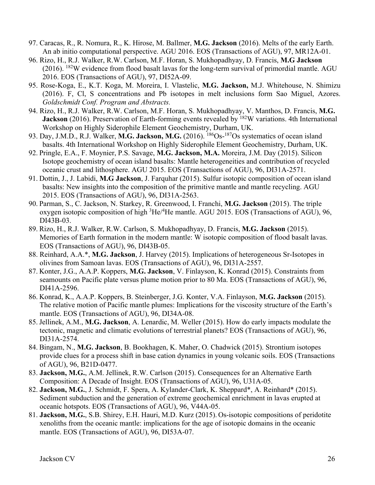- 97. Caracas, R., R. Nomura, R., K. Hirose, M. Ballmer, **M.G. Jackson** (2016). Melts of the early Earth. An ab initio computational perspective. AGU 2016. EOS (Transactions of AGU), 97, MR12A-01.
- 96. Rizo, H., R.J. Walker, R.W. Carlson, M.F. Horan, S. Mukhopadhyay, D. Francis, **M.G Jackson** (2016). 182W evidence from flood basalt lavas for the long-term survival of primordial mantle. AGU 2016. EOS (Transactions of AGU), 97, DI52A-09.
- 95. Rose-Koga, E., K.T. Koga, M. Moreira, I. Vlastelic, **M.G. Jackson,** M.J. Whitehouse, N. Shimizu (2016). F, Cl, S concentrations and Pb isotopes in melt inclusions form Sao Miguel, Azores. *Goldschmidt Conf. Program and Abstracts.*
- 94. Rizo, H., R.J. Walker, R.W. Carlson, M.F. Horan, S. Mukhopadhyay, V. Manthos, D. Francis, **M.G. Jackson** (2016). Preservation of Earth-forming events revealed by <sup>182</sup>W variations. 4th International Workshop on Highly Siderophile Element Geochemistry, Durham, UK.
- 93. Day, J.M.D., R.J. Walker, **M.G. Jackson, M.G.** (2016). 186Os-187Os systematics of ocean island basalts. 4th International Workshop on Highly Siderophile Element Geochemistry, Durham, UK.
- 92. Pringle, E.A., F. Moynier, P.S. Savage, **M.G. Jackson, M.A.** Moreira, J.M. Day (2015). Silicon Isotope geochemistry of ocean island basalts: Mantle heterogeneities and contribution of recycled oceanic crust and lithosphere. AGU 2015. EOS (Transactions of AGU), 96, DI31A-2571.
- 91. Dottin, J., J. Labidi, **M.G Jackson**, J. Farquhar (2015). Sulfur isotopic composition of ocean island basalts: New insights into the composition of the primitive mantle and mantle recycling. AGU 2015. EOS (Transactions of AGU), 96, DI31A-2563.
- 90. Parman, S., C. Jackson, N. Starkey, R. Greenwood, I. Franchi, **M.G. Jackson** (2015). The triple oxygen isotopic composition of high <sup>3</sup>He/<sup>4</sup>He mantle. AGU 2015. EOS (Transactions of AGU), 96, DI43B-03.
- 89. Rizo, H., R.J. Walker, R.W. Carlson, S. Mukhopadhyay, D. Francis, **M.G. Jackson** (2015). Memories of Earth formation in the modern mantle: W isotopic composition of flood basalt lavas. EOS (Transactions of AGU), 96, DI43B-05.
- 88. Reinhard, A.A.\*, **M.G. Jackson**, J. Harvey (2015). Implications of heterogeneous Sr-Isotopes in olivines from Samoan lavas. EOS (Transactions of AGU), 96, DI31A-2557.
- 87. Konter, J.G., A.A.P. Koppers, **M.G. Jackson**, V. Finlayson, K. Konrad (2015). Constraints from seamounts on Pacific plate versus plume motion prior to 80 Ma. EOS (Transactions of AGU), 96, DI41A-2596.
- 86. Konrad, K., A.A.P. Koppers, B. Steinberger, J.G. Konter, V.A. Finlayson, **M.G. Jackson** (2015). The relative motion of Pacific mantle plumes: Implications for the viscosity structure of the Earth's mantle. EOS (Transactions of AGU), 96, DI34A-08.
- 85. Jellinek, A.M., **M.G. Jackson**, A. Lenardic, M. Weller (2015). How do early impacts modulate the tectonic, magnetic and climatic evolutions of terrestrial planets? EOS (Transactions of AGU), 96, DI31A-2574.
- 84. Bingam, N., **M.G. Jackson**, B. Bookhagen, K. Maher, O. Chadwick (2015). Strontium isotopes provide clues for a process shift in base cation dynamics in young volcanic soils. EOS (Transactions of AGU), 96, B21D-0477.
- 83. **Jackson, M.G.**, A.M. Jellinek, R.W. Carlson (2015). Consequences for an Alternative Earth Composition: A Decade of Insight. EOS (Transactions of AGU), 96, U31A-05.
- 82. **Jackson, M.G.**, J. Schmidt, F. Spera, A. Kylander-Clark, K. Sheppard\*, A. Reinhard\* (2015). Sediment subduction and the generation of extreme geochemical enrichment in lavas erupted at oceanic hotspots. EOS (Transactions of AGU), 96, V44A-05.
- 81. **Jackson, M.G.**, S.B. Shirey, E.H. Hauri, M.D. Kurz (2015). Os-isotopic compositions of peridotite xenoliths from the oceanic mantle: implications for the age of isotopic domains in the oceanic mantle. EOS (Transactions of AGU), 96, DI53A-07.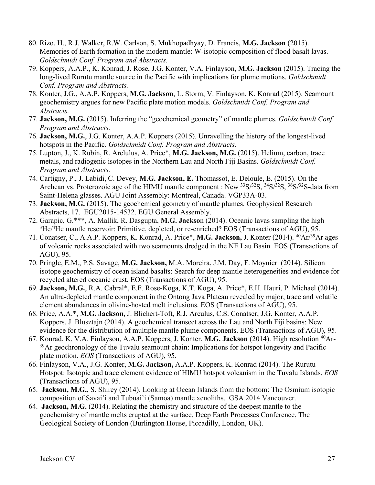- 80. Rizo, H., R.J. Walker, R.W. Carlson, S. Mukhopadhyay, D. Francis, **M.G. Jackson** (2015). Memories of Earth formation in the modern mantle: W-isotopic composition of flood basalt lavas. *Goldschmidt Conf. Program and Abstracts.*
- 79. Koppers, A.A.P., K. Konrad, J. Rose, J.G. Konter, V.A. Finlayson, **M.G. Jackson** (2015). Tracing the long-lived Rurutu mantle source in the Pacific with implications for plume motions. *Goldschmidt Conf. Program and Abstracts.*
- 78. Konter, J.G., A.A.P. Koppers, **M.G. Jackson**, L. Storm, V. Finlayson, K. Konrad (2015). Seamount geochemistry argues for new Pacific plate motion models. *Goldschmidt Conf. Program and Abstracts.*
- 77. **Jackson, M.G.** (2015). Inferring the "geochemical geometry" of mantle plumes. *Goldschmidt Conf. Program and Abstracts.*
- 76. **Jackson, M.G.**, J.G. Konter, A.A.P. Koppers (2015). Unravelling the history of the longest-lived hotspots in the Pacific. *Goldschmidt Conf. Program and Abstracts.*
- 75. Lupton, J., K. Rubin, R. Arclulus, A. Price\*, **M.G. Jackson, M.G.** (2015). Helium, carbon, trace metals, and radiogenic isotopes in the Northern Lau and North Fiji Basins. *Goldschmidt Conf. Program and Abstracts.*
- 74. Cartigny, P., J. Labidi, C. Devey, **M.G. Jackson, E.** Thomassot, E. Deloule, E. (2015). On the Archean vs. Proterozoic age of the HIMU mantle component : New  $33S/32S$ ,  $34S/32S$ ,  $36S/32S$ -data from Saint-Helena glasses. AGU Joint Assembly: Montreal, Canada. VGP33A-03.
- 73. **Jackson, M.G.** (2015). The geochemical geometry of mantle plumes. Geophysical Research Abstracts, 17. EGU2015-14532. EGU General Assembly.
- 72. Garapic, G.\*\*\*, A. Mallik, R. Dasgupta, **M.G. Jackso**n (2014). Oceanic lavas sampling the high <sup>3</sup>He/<sup>4</sup>He mantle reservoir: Primitive, depleted, or re-enriched? EOS (Transactions of AGU), 95.
- 71. Conatser, C., A.A.P. Koppers, K. Konrad, A. Price\*, **M.G. Jackson,** J. Konter (2014). 40Ar/39Ar ages of volcanic rocks associated with two seamounts dredged in the NE Lau Basin. EOS (Transactions of AGU), 95.
- 70. Pringle, E.M., P.S. Savage, **M.G. Jackson,** M.A. Moreira, J.M. Day, F. Moynier (2014). Silicon isotope geochemistry of ocean island basalts: Search for deep mantle heterogeneities and evidence for recycled altered oceanic crust. EOS (Transactions of AGU), 95.
- 69. **Jackson, M.G.**, R.A. Cabral\*, E.F. Rose-Koga, K.T. Koga, A. Price\*, E.H. Hauri, P. Michael (2014). An ultra-depleted mantle component in the Ontong Java Plateau revealed by major, trace and volatile element abundances in olivine-hosted melt inclusions. EOS (Transactions of AGU), 95.
- 68. Price, A.A.\*, **M.G. Jackson,** J. Blichert-Toft, R.J. Arculus, C.S. Conatser, J.G. Konter, A.A.P. Koppers, J. Blusztajn (2014). A geochemical transect across the Lau and North Fiji basins: New evidence for the distribution of multiple mantle plume components. EOS (Transactions of AGU), 95.
- 67. Konrad, K. V.A. Finlayson, A.A.P. Koppers, J. Konter, **M.G. Jackson** (2014). High resolution 40Ar-  $39$ Ar geochronology of the Tuvalu seamount chain: Implications for hotspot longevity and Pacific plate motion. *EOS* (Transactions of AGU), 95.
- 66. Finlayson, V.A., J.G. Konter, **M.G. Jackson,** A.A.P. Koppers, K. Konrad (2014). The Rurutu Hotspot: Isotopic and trace element evidence of HIMU hotspot volcanism in the Tuvalu Islands. *EOS* (Transactions of AGU), 95.
- 65. **Jackson, M.G.**, S. Shirey (2014). Looking at Ocean Islands from the bottom: The Osmium isotopic composition of Savai'i and Tubuai'i (Samoa) mantle xenoliths. GSA 2014 Vancouver.
- 64. **Jackson, M.G.** (2014). Relating the chemistry and structure of the deepest mantle to the geochemistry of mantle melts erupted at the surface. Deep Earth Processes Conference, The Geological Society of London (Burlington House, Piccadilly, London, UK).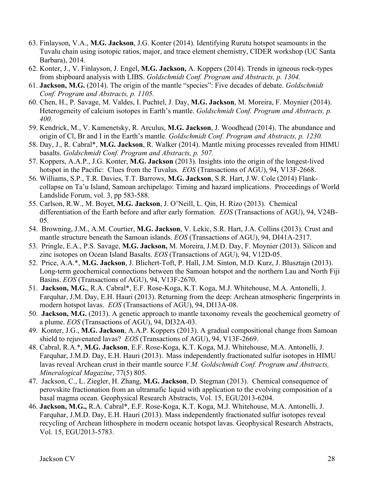- 63. Finlayson, V.A., **M.G. Jackson**, J.G. Konter (2014). Identifying Rurutu hotspot seamounts in the Tuvalu chain using isotopic ratios, major, and trace element chemistry, CIDER workshop (UC Santa Barbara), 2014.
- 62. Konter, J., V. Finlayson, J. Engel, **M.G. Jackson,** A. Koppers (2014). Trends in igneous rock-types from shipboard analysis with LIBS. *Goldschmidt Conf. Program and Abstracts, p. 1304.*
- 61. **Jackson, M.G.** (2014). The origin of the mantle "species": Five decades of debate. *Goldschmidt Conf. Program and Abstracts, p. 1105.*
- 60. Chen, H., P. Savage, M. Valdes, I. Puchtel, J. Day, **M.G. Jackson**, M. Moreira, F. Moynier (2014). Heterogeneity of calcium isotopes in Earth's mantle. *Goldschmidt Conf. Program and Abstracts, p. 400.*
- 59. Kendrick, M., V. Kamenetsky, R. Arculus, **M.G. Jackson**, J. Woodhead (2014). The abundance and origin of Cl, Br and I in the Earth's mantle. *Goldschmidt Conf. Program and Abstracts, p. 1230.*
- 58. Day, J., R. Cabral\*, **M.G. Jackson**, R. Walker (2014). Mantle mixing processes revealed from HIMU basalts. *Goldschmidt Conf. Program and Abstracts, p. 507.*
- 57. Koppers, A.A.P., J.G. Konter, **M.G. Jackson** (2013). Insights into the origin of the longest-lived hotspot in the Pacific: Clues from the Tuvalus. *EOS* (Transactions of AGU), 94, V13F-2668.
- 56. Williams, S.P., T.R. Davies, T.T. Barrows, **M.G. Jackson**, S.R. Hart, J.W. Cole (2014) Flankcollapse on Ta'u Island, Samoan archipelago: Timing and hazard implications. Proceedings of World Landslide Forum, vol. 3, pp 583-588.
- 55. Carlson, R.W., M. Boyet, **M.G. Jackson**, J. O'Neill, L. Qin, H. Rizo (2013). Chemical differentiation of the Earth before and after early formation. *EOS* (Transactions of AGU), 94, V24B-05.
- 54. Browning, J.M., A.M. Courtier, **M.G. Jackson**, V. Lekic, S.R. Hart, J.A. Collins (2013). Crust and mantle structure beneath the Samoan islands. *EOS* (Transactions of AGU), 94, DI41A-2317.
- 53. Pringle, E.A., P.S. Savage, **M.G. Jackson,** M. Moreira, J.M.D. Day, F. Moynier (2013). Silicon and zinc isotopes on Ocean Island Basalts. *EOS* (Transactions of AGU), 94, V12D-05.
- 52. Price, A.A.\*, **M.G. Jackson**, J. Blichert-Toft, P. Hall, J.M. Sinton, M.D. Kurz, J. Blusztajn (2013). Long-term geochemical connections between the Samoan hotspot and the northern Lau and North Fiji Basins. *EOS* (Transactions of AGU), 94, V13F-2670.
- 51. **Jackson, M.G.**, R.A. Cabral\*, E.F. Rose-Koga, K.T. Koga, M.J. Whitehouse, M.A. Antonelli, J. Farquhar, J.M. Day, E.H. Hauri (2013). Returning from the deep: Archean atmospheric fingerprints in modern hotspot lavas. *EOS* (Transactions of AGU), 94, DI13A-08.
- 50. **Jackson, M.G.** (2013). A genetic approach to mantle taxonomy reveals the geochemical geometry of a plume. *EOS* (Transactions of AGU), 94, DI32A-03.
- 49. Konter, J.G., **M.G. Jackson**, A.A.P. Koppers (2013). A gradual compositional change from Samoan shield to rejuvenated lavas? *EOS* (Transactions of AGU), 94, V13F-2669.
- 48. Cabral, R.A.\*, **M.G. Jackson**, E.F. Rose-Koga, K.T. Koga, M.J. Whitehouse, M.A. Antonelli, J. Farquhar, J.M.D. Day, E.H. Hauri (2013). Mass independently fractionated sulfur isotopes in HIMU lavas reveal Archean crust in their mantle source *V.M. Goldschmidt Conf. Program and Abstracts, Mineralogical Magazine*, 77(5) 805.
- 47. Jackson, C., L. Ziegler, H. Zhang, **M.G. Jackson**, D. Stegman (2013). Chemical consequence of perovskite fractionation from an ultramafic liquid with application to the evolving composition of a basal magma ocean. Geophysical Research Abstracts, Vol. 15, EGU2013-6204.
- 46. **Jackson, M.G.,** R.A. Cabral\*, E.F. Rose-Koga, K.T. Koga, M.J. Whitehouse, M.A. Antonelli, J. Farquhar, J.M.D. Day, E.H. Hauri (2013). Mass independently fractionated sulfur isotopes reveal recycling of Archean lithosphere in modern oceanic hotspot lavas. Geophysical Research Abstracts, Vol. 15, EGU2013-5783.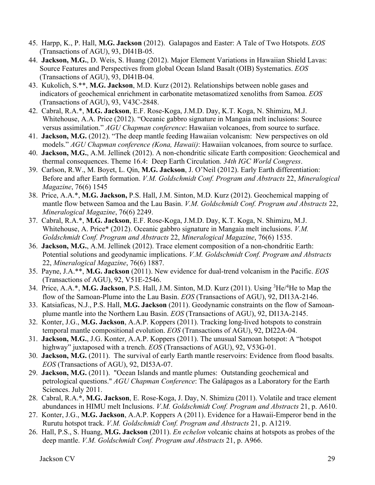- 45. Harpp, K., P. Hall, **M.G. Jackson** (2012). Galapagos and Easter: A Tale of Two Hotspots. *EOS* (Transactions of AGU), 93, DI41B-05.
- 44. **Jackson, M.G.**, D. Weis, S. Huang (2012). Major Element Variations in Hawaiian Shield Lavas: Source Features and Perspectives from global Ocean Island Basalt (OIB) Systematics. *EOS* (Transactions of AGU), 93, DI41B-04.
- 43. Kukolich, S.\*\*, **M.G. Jackson**, M.D. Kurz (2012). Relationships between noble gases and indicators of geochemical enrichment in carbonatite metasomatized xenoliths from Samoa. *EOS* (Transactions of AGU), 93, V43C-2848.
- 42.Cabral, R.A.\*, **M.G. Jackson**, E.F. Rose-Koga, J.M.D. Day, K.T. Koga, N. Shimizu, M.J. Whitehouse, A.A. Price (2012). "Oceanic gabbro signature in Mangaia melt inclusions: Source versus assimilation." *AGU Chapman conference*: Hawaiian volcanoes, from source to surface.
- 41. **Jackson, M.G.** (2012). "The deep mantle feeding Hawaiian volcanism: New perspectives on old models." *AGU Chapman conference (Kona, Hawaii)*: Hawaiian volcanoes, from source to surface.
- 40. **Jackson, M.G.**, A.M. Jellinek (2012). A non-chondritic silicate Earth composition: Geochemical and thermal consequences. Theme 16.4: Deep Earth Circulation. *34th IGC World Congress*.
- 39. Carlson, R.W., M. Boyet, L. Qin, **M.G. Jackson**, J. O'Neil (2012). Early Earth differentiation: Before and after Earth formation. *V.M. Goldschmidt Conf. Program and Abstracts* 22, *Mineralogical Magazine*, 76(6) 1545
- 38. Price, A.A.\*, **M.G. Jackson,** P.S. Hall, J.M. Sinton, M.D. Kurz (2012). Geochemical mapping of mantle flow between Samoa and the Lau Basin. *V.M. Goldschmidt Conf. Program and Abstracts* 22, *Mineralogical Magazine*, 76(6) 2249.
- 37. Cabral, R.A.\*, **M.G. Jackson**, E.F. Rose-Koga, J.M.D. Day, K.T. Koga, N. Shimizu, M.J. Whitehouse, A. Price\* (2012). Oceanic gabbro signature in Mangaia melt inclusions. *V.M. Goldschmidt Conf. Program and Abstracts* 22, *Mineralogical Magazine*, 76(6) 1535.
- 36. **Jackson, M.G.**, A.M. Jellinek (2012). Trace element composition of a non-chondritic Earth: Potential solutions and geodynamic implications. *V.M. Goldschmidt Conf. Program and Abstracts* 22, *Mineralogical Magazine*, 76(6) 1887.
- 35. Payne, J.A.\*\*, **M.G. Jackson** (2011). New evidence for dual-trend volcanism in the Pacific. *EOS* (Transactions of AGU), 92, V51E-2546.
- 34. Price, A.A.\*, **M.G. Jackson**, P.S. Hall, J.M. Sinton, M.D. Kurz (2011). Using 3 He/4 He to Map the flow of the Samoan-Plume into the Lau Basin. *EOS* (Transactions of AGU), 92, DI13A-2146.
- 33.Katsiaficas, N.J., P.S. Hall, **M.G. Jackson** (2011). Geodynamic constraints on the flow of Samoanplume mantle into the Northern Lau Basin. *EOS* (Transactions of AGU), 92, DI13A-2145.
- 32. Konter, J.G., **M.G. Jackson**, A.A.P. Koppers (2011). Tracking long-lived hotspots to constrain temporal mantle compositional evolution. *EOS* (Transactions of AGU), 92, DI22A-04.
- 31. **Jackson, M.G.**, J.G. Konter, A.A.P. Koppers (2011). The unusual Samoan hotspot: A "hotspot highway" juxtaposed with a trench. *EOS* (Transactions of AGU), 92, V53G-01.
- 30. **Jackson, M.G.** (2011). The survival of early Earth mantle reservoirs: Evidence from flood basalts. *EOS* (Transactions of AGU), 92, DI53A-07.
- 29. **Jackson, M.G.** (2011). "Ocean Islands and mantle plumes: Outstanding geochemical and petrological questions." *AGU Chapman Conference*: The Galápagos as a Laboratory for the Earth Sciences. July 2011.
- 28. Cabral, R.A.**\***, **M.G. Jackson**, E. Rose-Koga, J. Day, N. Shimizu (2011). Volatile and trace element abundances in HIMU melt Inclusions. *V.M. Goldschmidt Conf. Program and Abstracts* 21, p. A610.
- 27. Konter, J.G., **M.G. Jackson**, A.A.P. Koppers A (2011). Evidence for a Hawaii-Emperor bend in the Rurutu hotspot track. *V.M. Goldschmidt Conf. Program and Abstracts* 21, p. A1219.
- 26. Hall, P.S., S. Huang, **M.G. Jackson** (2011). *En echelon* volcanic chains at hotspots as probes of the deep mantle. *V.M. Goldschmidt Conf. Program and Abstracts* 21, p. A966.

Jackson CV 29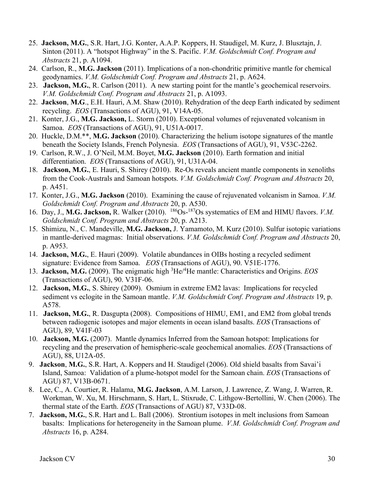- 25. **Jackson, M.G.**, S.R. Hart, J.G. Konter, A.A.P. Koppers, H. Staudigel, M. Kurz, J. Blusztajn, J. Sinton (2011). A "hotspot Highway" in the S. Pacific. *V.M. Goldschmidt Conf. Program and Abstracts* 21, p. A1094.
- 24. Carlson, R., **M.G. Jackson** (2011). Implications of a non-chondritic primitive mantle for chemical geodynamics. *V.M. Goldschmidt Conf. Program and Abstracts* 21, p. A624.
- 23. **Jackson, M.G.**, R. Carlson (2011). A new starting point for the mantle's geochemical reservoirs. *V.M. Goldschmidt Conf. Program and Abstracts* 21, p. A1093.
- 22. **Jackson**, **M.G**., E.H. Hauri, A.M. Shaw (2010). Rehydration of the deep Earth indicated by sediment recycling. *EOS* (Transactions of AGU), 91, V14A-05.
- 21.Konter, J.G., **M.G. Jackson,** L. Storm (2010). Exceptional volumes of rejuvenated volcanism in Samoa. *EOS* (Transactions of AGU), 91, U51A-0017.
- 20. Huckle, D.M.\*\*, **M.G. Jackson** (2010). Characterizing the helium isotope signatures of the mantle beneath the Society Islands, French Polynesia. *EOS* (Transactions of AGU), 91, V53C-2262.
- 19. Carlson, R.W., J. O'Neil, M.M. Boyet, **M.G. Jackson** (2010). Earth formation and initial differentiation. *EOS* (Transactions of AGU), 91, U31A-04.
- 18. **Jackson, M.G.**, E. Hauri, S. Shirey (2010). Re-Os reveals ancient mantle components in xenoliths from the Cook-Australs and Samoan hotspots. *V.M. Goldschmidt Conf. Program and Abstracts* 20, p. A451.
- 17. Konter, J.G., **M.G. Jackson** (2010). Examining the cause of rejuvenated volcanism in Samoa. *V.M. Goldschmidt Conf. Program and Abstracts* 20, p. A530.
- 16. Day, J., **M.G. Jackson,** R. Walker (2010). 186Os-187Os systematics of EM and HIMU flavors. *V.M. Goldschmidt Conf. Program and Abstracts* 20, p. A213.
- 15. Shimizu, N., C. Mandeville, **M.G. Jackson,** J. Yamamoto, M. Kurz (2010). Sulfur isotopic variations in mantle-derived magmas: Initial observations. *V.M. Goldschmidt Conf. Program and Abstracts* 20, p. A953.
- 14. **Jackson, M.G.**, E. Hauri (2009). Volatile abundances in OIBs hosting a recycled sediment signature: Evidence from Samoa. *EOS* (Transactions of AGU), 90. V51E-1776.
- 13. **Jackson, M.G.** (2009). The enigmatic high 3 He/4 He mantle: Characteristics and Origins. *EOS*  (Transactions of AGU), 90. V31F-06.
- 12. **Jackson, M.G.**, S. Shirey (2009).Osmium in extreme EM2 lavas: Implications for recycled sediment vs eclogite in the Samoan mantle. *V.M. Goldschmidt Conf. Program and Abstracts* 19, p. A578.
- 11. **Jackson, M.G.**, R. Dasgupta (2008). Compositions of HIMU, EM1, and EM2 from global trends between radiogenic isotopes and major elements in ocean island basalts. *EOS* (Transactions of AGU), 89, V41F-03
- 10. **Jackson, M.G.** (2007). Mantle dynamics Inferred from the Samoan hotspot: Implications for recycling and the preservation of hemispheric-scale geochemical anomalies. *EOS* (Transactions of AGU), 88, U12A-05.
- 9. **Jackson**, **M.G.**, S.R. Hart, A. Koppers and H. Staudigel (2006). Old shield basalts from Savai'i Island, Samoa: Validation of a plume-hotspot model for the Samoan chain. *EOS* (Transactions of AGU) 87, V13B-0671.
- 8. Lee, C., A. Courtier, R. Halama, **M.G. Jackson**, A.M. Larson, J. Lawrence, Z. Wang, J. Warren, R. Workman, W. Xu, M. Hirschmann, S. Hart, L. Stixrude, C. Lithgow-Bertollini, W. Chen (2006). The thermal state of the Earth. *EOS* (Transactions of AGU) 87, V33D-08.
- 7. **Jackson, M.G.**, S.R. Hart and L. Ball (2006). Strontium isotopes in melt inclusions from Samoan basalts: Implications for heterogeneity in the Samoan plume. *V.M. Goldschmidt Conf. Program and Abstracts* 16, p. A284.